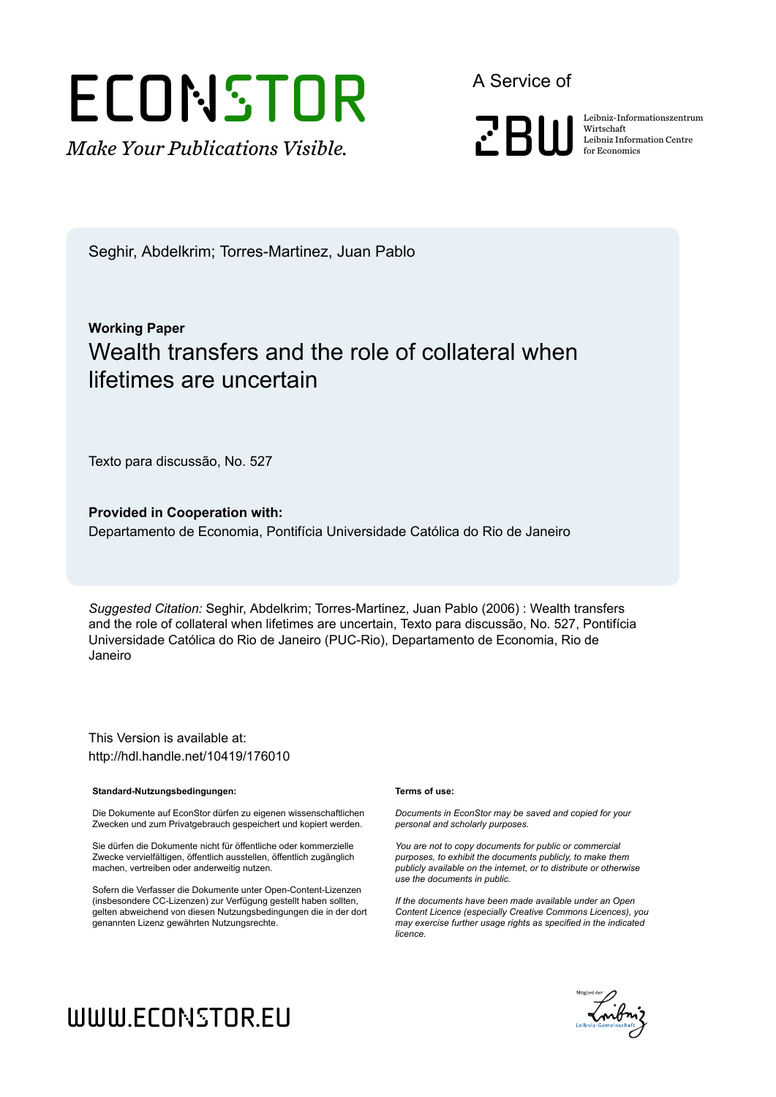# **ECONSTOR**

*Make Your Publications Visible.*

A Service of



Wirtschaft Leibniz Information Centre for Economics

Seghir, Abdelkrim; Torres-Martinez, Juan Pablo

## **Working Paper** Wealth transfers and the role of collateral when lifetimes are uncertain

Texto para discussão, No. 527

**Provided in Cooperation with:** Departamento de Economia, Pontifícia Universidade Católica do Rio de Janeiro

*Suggested Citation:* Seghir, Abdelkrim; Torres-Martinez, Juan Pablo (2006) : Wealth transfers and the role of collateral when lifetimes are uncertain, Texto para discussão, No. 527, Pontifícia Universidade Católica do Rio de Janeiro (PUC-Rio), Departamento de Economia, Rio de Janeiro

This Version is available at: http://hdl.handle.net/10419/176010

#### **Standard-Nutzungsbedingungen:**

Die Dokumente auf EconStor dürfen zu eigenen wissenschaftlichen Zwecken und zum Privatgebrauch gespeichert und kopiert werden.

Sie dürfen die Dokumente nicht für öffentliche oder kommerzielle Zwecke vervielfältigen, öffentlich ausstellen, öffentlich zugänglich machen, vertreiben oder anderweitig nutzen.

Sofern die Verfasser die Dokumente unter Open-Content-Lizenzen (insbesondere CC-Lizenzen) zur Verfügung gestellt haben sollten, gelten abweichend von diesen Nutzungsbedingungen die in der dort genannten Lizenz gewährten Nutzungsrechte.

#### **Terms of use:**

*Documents in EconStor may be saved and copied for your personal and scholarly purposes.*

*You are not to copy documents for public or commercial purposes, to exhibit the documents publicly, to make them publicly available on the internet, or to distribute or otherwise use the documents in public.*

*If the documents have been made available under an Open Content Licence (especially Creative Commons Licences), you may exercise further usage rights as specified in the indicated licence.*



# www.econstor.eu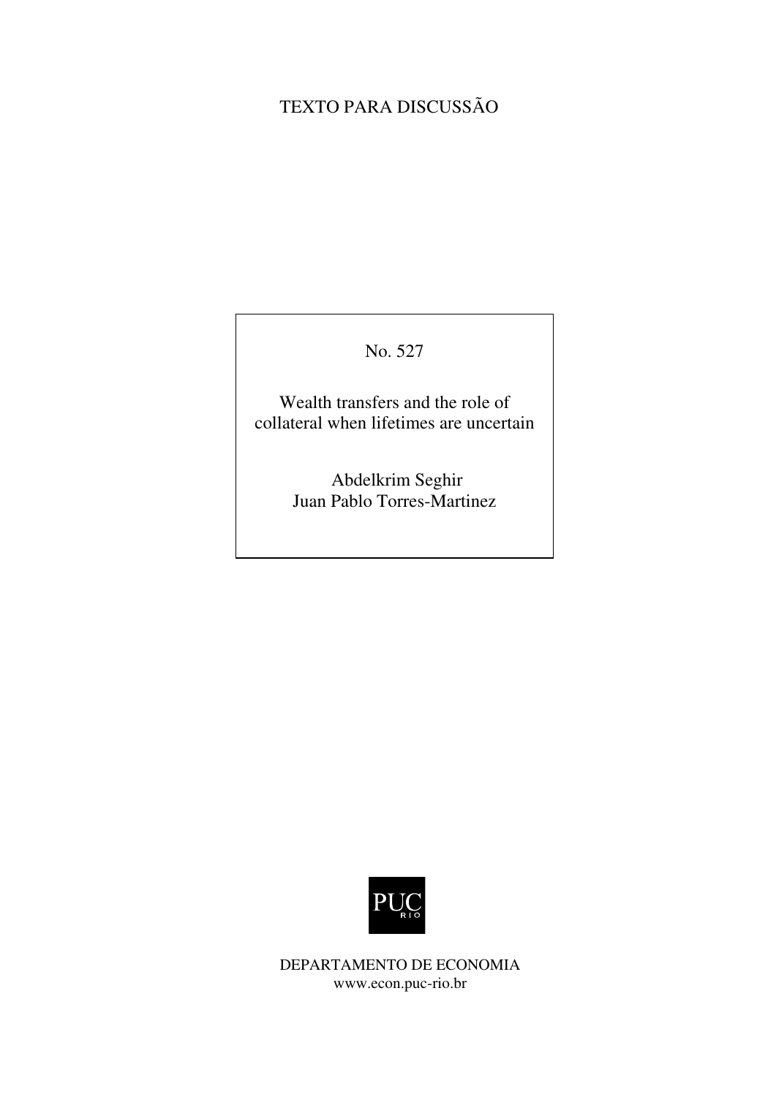# TEXTO PARA DISCUSSÃO

### No. 527

Wealth transfers and the role of collateral when lifetimes are uncertain

> Abdelkrim Seghir Juan Pablo Torres-Martinez



DEPARTAMENTO DE ECONOMIA www.econ.puc-rio.br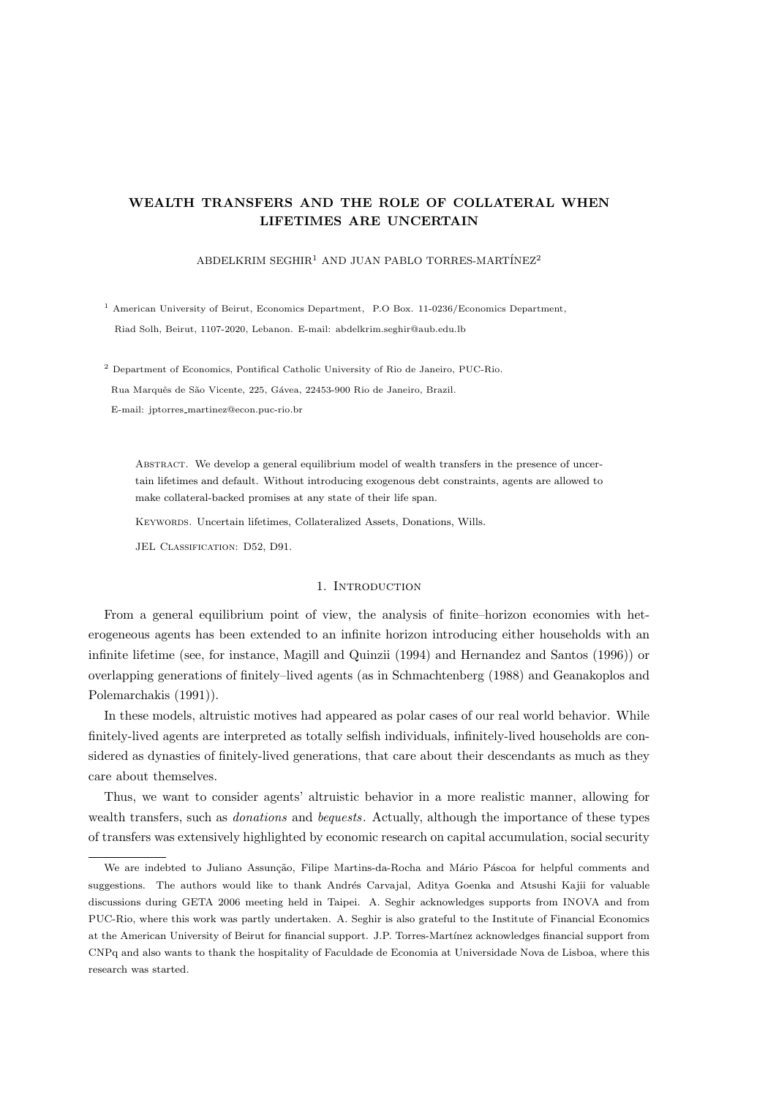#### WEALTH TRANSFERS AND THE ROLE OF COLLATERAL WHEN LIFETIMES ARE UNCERTAIN

#### ABDELKRIM SEGHIR<sup>1</sup> AND JUAN PABLO TORRES-MARTÍNEZ<sup>2</sup>

<sup>1</sup> American University of Beirut, Economics Department, P.O Box. 11-0236/Economics Department, Riad Solh, Beirut, 1107-2020, Lebanon. E-mail: abdelkrim.seghir@aub.edu.lb

<sup>2</sup> Department of Economics, Pontifical Catholic University of Rio de Janeiro, PUC-Rio. Rua Marquês de São Vicente, 225, Gávea, 22453-900 Rio de Janeiro, Brazil. E-mail: jptorres martinez@econ.puc-rio.br

Abstract. We develop a general equilibrium model of wealth transfers in the presence of uncertain lifetimes and default. Without introducing exogenous debt constraints, agents are allowed to make collateral-backed promises at any state of their life span.

Keywords. Uncertain lifetimes, Collateralized Assets, Donations, Wills.

JEL CLASSIFICATION: D52, D91.

#### 1. INTRODUCTION

From a general equilibrium point of view, the analysis of finite–horizon economies with heterogeneous agents has been extended to an infinite horizon introducing either households with an infinite lifetime (see, for instance, Magill and Quinzii (1994) and Hernandez and Santos (1996)) or overlapping generations of finitely–lived agents (as in Schmachtenberg (1988) and Geanakoplos and Polemarchakis (1991)).

In these models, altruistic motives had appeared as polar cases of our real world behavior. While finitely-lived agents are interpreted as totally selfish individuals, infinitely-lived households are considered as dynasties of finitely-lived generations, that care about their descendants as much as they care about themselves.

Thus, we want to consider agents' altruistic behavior in a more realistic manner, allowing for wealth transfers, such as *donations* and *bequests*. Actually, although the importance of these types of transfers was extensively highlighted by economic research on capital accumulation, social security

We are indebted to Juliano Assunção, Filipe Martins-da-Rocha and Mário Páscoa for helpful comments and suggestions. The authors would like to thank Andrés Carvajal, Aditya Goenka and Atsushi Kajii for valuable discussions during GETA 2006 meeting held in Taipei. A. Seghir acknowledges supports from INOVA and from PUC-Rio, where this work was partly undertaken. A. Seghir is also grateful to the Institute of Financial Economics at the American University of Beirut for financial support. J.P. Torres-Martínez acknowledges financial support from CNPq and also wants to thank the hospitality of Faculdade de Economia at Universidade Nova de Lisboa, where this research was started.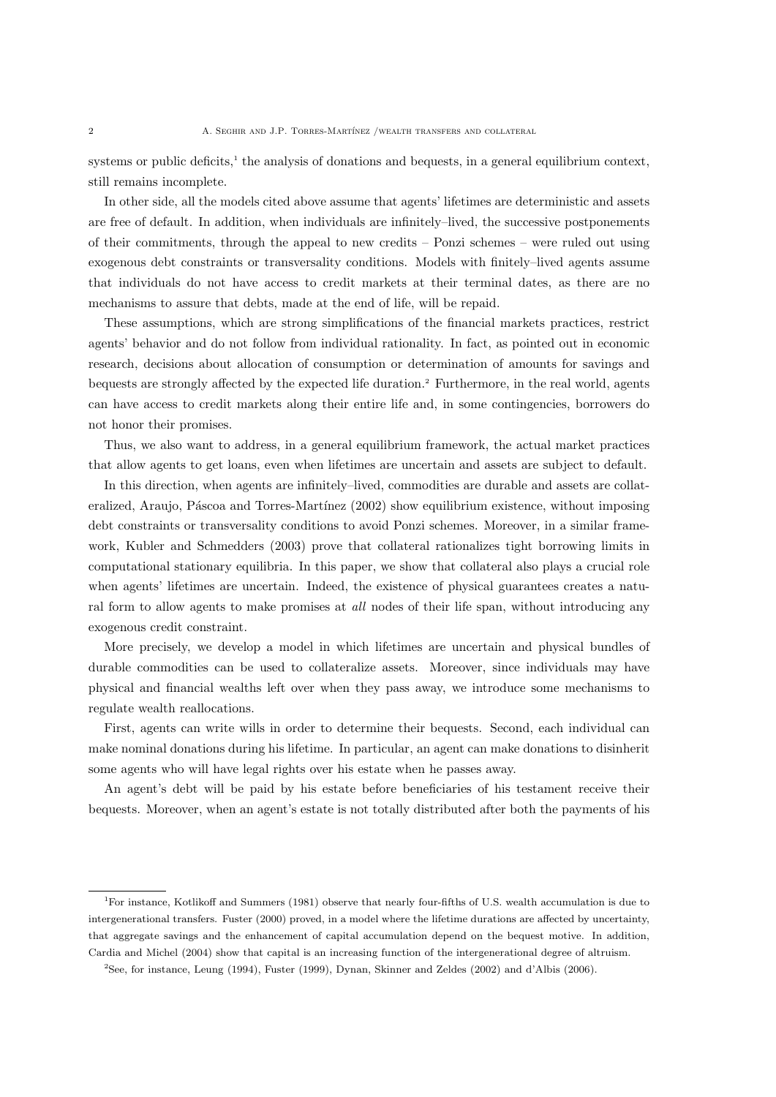systems or public deficits,<sup>1</sup> the analysis of donations and bequests, in a general equilibrium context, still remains incomplete.

In other side, all the models cited above assume that agents' lifetimes are deterministic and assets are free of default. In addition, when individuals are infinitely–lived, the successive postponements of their commitments, through the appeal to new credits – Ponzi schemes – were ruled out using exogenous debt constraints or transversality conditions. Models with finitely–lived agents assume that individuals do not have access to credit markets at their terminal dates, as there are no mechanisms to assure that debts, made at the end of life, will be repaid.

These assumptions, which are strong simplifications of the financial markets practices, restrict agents' behavior and do not follow from individual rationality. In fact, as pointed out in economic research, decisions about allocation of consumption or determination of amounts for savings and bequests are strongly affected by the expected life duration.<sup>2</sup> Furthermore, in the real world, agents can have access to credit markets along their entire life and, in some contingencies, borrowers do not honor their promises.

Thus, we also want to address, in a general equilibrium framework, the actual market practices that allow agents to get loans, even when lifetimes are uncertain and assets are subject to default.

In this direction, when agents are infinitely–lived, commodities are durable and assets are collateralized, Araujo, Páscoa and Torres-Martínez (2002) show equilibrium existence, without imposing debt constraints or transversality conditions to avoid Ponzi schemes. Moreover, in a similar framework, Kubler and Schmedders (2003) prove that collateral rationalizes tight borrowing limits in computational stationary equilibria. In this paper, we show that collateral also plays a crucial role when agents' lifetimes are uncertain. Indeed, the existence of physical guarantees creates a natural form to allow agents to make promises at *all* nodes of their life span, without introducing any exogenous credit constraint.

More precisely, we develop a model in which lifetimes are uncertain and physical bundles of durable commodities can be used to collateralize assets. Moreover, since individuals may have physical and financial wealths left over when they pass away, we introduce some mechanisms to regulate wealth reallocations.

First, agents can write wills in order to determine their bequests. Second, each individual can make nominal donations during his lifetime. In particular, an agent can make donations to disinherit some agents who will have legal rights over his estate when he passes away.

An agent's debt will be paid by his estate before beneficiaries of his testament receive their bequests. Moreover, when an agent's estate is not totally distributed after both the payments of his

<sup>1</sup>For instance, Kotlikoff and Summers (1981) observe that nearly four-fifths of U.S. wealth accumulation is due to intergenerational transfers. Fuster (2000) proved, in a model where the lifetime durations are affected by uncertainty, that aggregate savings and the enhancement of capital accumulation depend on the bequest motive. In addition, Cardia and Michel (2004) show that capital is an increasing function of the intergenerational degree of altruism.

<sup>2</sup>See, for instance, Leung (1994), Fuster (1999), Dynan, Skinner and Zeldes (2002) and d'Albis (2006).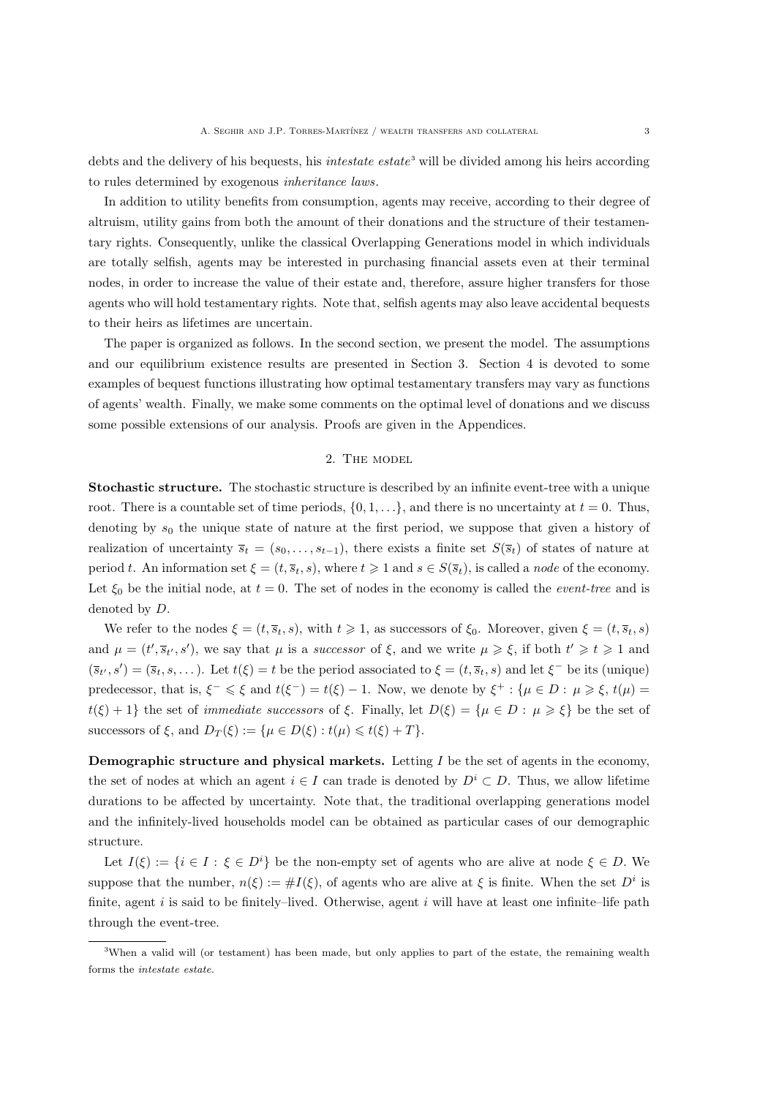debts and the delivery of his bequests, his *intestate estate*<sup>3</sup> will be divided among his heirs according to rules determined by exogenous inheritance laws.

In addition to utility benefits from consumption, agents may receive, according to their degree of altruism, utility gains from both the amount of their donations and the structure of their testamentary rights. Consequently, unlike the classical Overlapping Generations model in which individuals are totally selfish, agents may be interested in purchasing financial assets even at their terminal nodes, in order to increase the value of their estate and, therefore, assure higher transfers for those agents who will hold testamentary rights. Note that, selfish agents may also leave accidental bequests to their heirs as lifetimes are uncertain.

The paper is organized as follows. In the second section, we present the model. The assumptions and our equilibrium existence results are presented in Section 3. Section 4 is devoted to some examples of bequest functions illustrating how optimal testamentary transfers may vary as functions of agents' wealth. Finally, we make some comments on the optimal level of donations and we discuss some possible extensions of our analysis. Proofs are given in the Appendices.

#### 2. The model

Stochastic structure. The stochastic structure is described by an infinite event-tree with a unique root. There is a countable set of time periods,  $\{0, 1, \ldots\}$ , and there is no uncertainty at  $t = 0$ . Thus, denoting by  $s_0$  the unique state of nature at the first period, we suppose that given a history of realization of uncertainty  $\overline{s}_t = (s_0, \ldots, s_{t-1})$ , there exists a finite set  $S(\overline{s}_t)$  of states of nature at period t. An information set  $\xi = (t, \bar{s}_t, s)$ , where  $t \geq 1$  and  $s \in S(\bar{s}_t)$ , is called a node of the economy. Let  $\xi_0$  be the initial node, at  $t = 0$ . The set of nodes in the economy is called the *event-tree* and is denoted by D.

We refer to the nodes  $\xi = (t, \overline{s}_t, s)$ , with  $t \ge 1$ , as successors of  $\xi_0$ . Moreover, given  $\xi = (t, \overline{s}_t, s)$ and  $\mu = (t', \bar{s}_{t'}, s')$ , we say that  $\mu$  is a successor of  $\xi$ , and we write  $\mu \geq \xi$ , if both  $t' \geq t \geq 1$  and  $(\overline{s}_t, s') = (\overline{s}_t, s, \dots)$ . Let  $t(\xi) = t$  be the period associated to  $\xi = (t, \overline{s}_t, s)$  and let  $\xi^-$  be its (unique) predecessor, that is,  $\xi^- \leq \xi$  and  $t(\xi^-) = t(\xi) - 1$ . Now, we denote by  $\xi^+ : {\mu \in D : \mu \geq \xi, t(\mu) =}$  $t(\xi) + 1$ } the set of *immediate successors* of  $\xi$ . Finally, let  $D(\xi) = {\mu \in D : \mu \geq \xi}$  be the set of successors of  $\xi$ , and  $D_T(\xi) := {\mu \in D(\xi) : t(\mu) \leq t(\xi) + T}.$ 

**Demographic structure and physical markets.** Letting  $I$  be the set of agents in the economy, the set of nodes at which an agent  $i \in I$  can trade is denoted by  $D^i \subset D$ . Thus, we allow lifetime durations to be affected by uncertainty. Note that, the traditional overlapping generations model and the infinitely-lived households model can be obtained as particular cases of our demographic structure.

Let  $I(\xi) := \{i \in I : \xi \in D^i\}$  be the non-empty set of agents who are alive at node  $\xi \in D$ . We suppose that the number,  $n(\xi) := \#I(\xi)$ , of agents who are alive at  $\xi$  is finite. When the set  $D^i$  is finite, agent  $i$  is said to be finitely–lived. Otherwise, agent  $i$  will have at least one infinite–life path through the event-tree.

<sup>&</sup>lt;sup>3</sup>When a valid will (or testament) has been made, but only applies to part of the estate, the remaining wealth forms the intestate estate.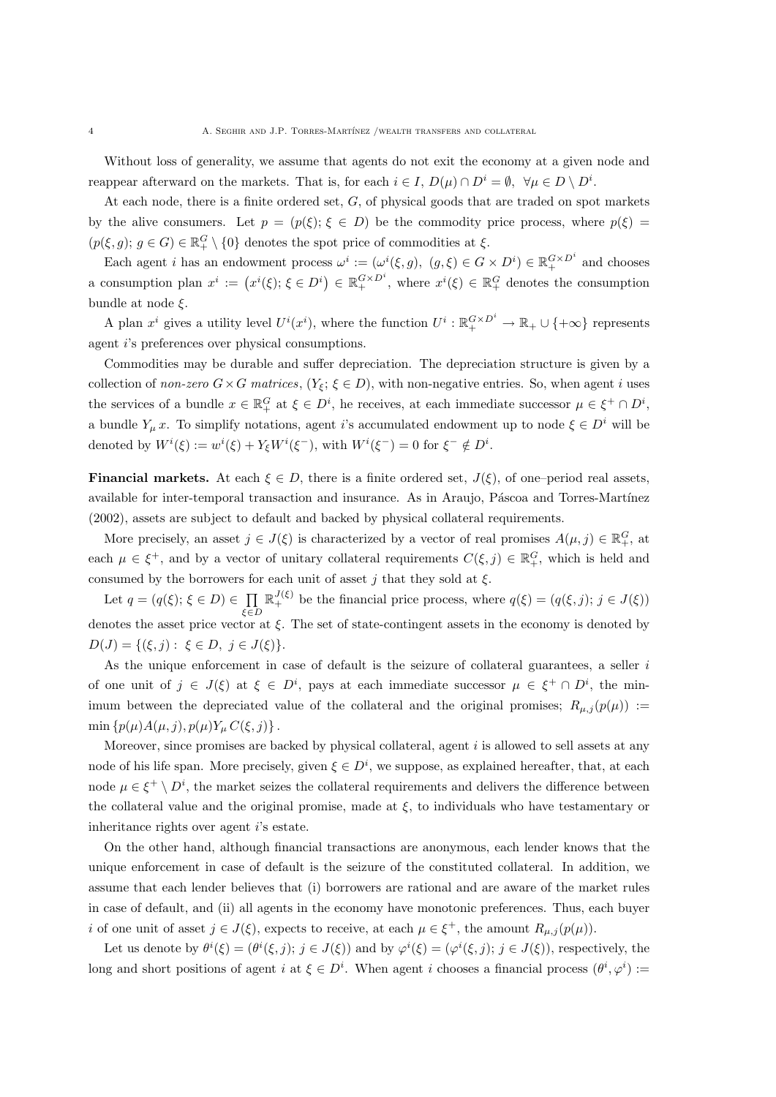Without loss of generality, we assume that agents do not exit the economy at a given node and reappear afterward on the markets. That is, for each  $i \in I$ ,  $D(\mu) \cap D^i = \emptyset$ ,  $\forall \mu \in D \setminus D^i$ .

At each node, there is a finite ordered set,  $G$ , of physical goods that are traded on spot markets by the alive consumers. Let  $p = (p(\xi); \xi \in D)$  be the commodity price process, where  $p(\xi)$  $(p(\xi, g); g \in G) \in \mathbb{R}_+^G \setminus \{0\}$  denotes the spot price of commodities at  $\xi$ .

Each agent *i* has an endowment process  $\omega^i := (\omega^i(\xi, g), (g, \xi) \in G \times D^i) \in \mathbb{R}_+^{G \times D^i}$  and chooses a consumption plan  $x^i := (x^i(\xi); \xi \in D^i) \in \mathbb{R}_+^{G \times D^i}$ , where  $x^i(\xi) \in \mathbb{R}_+^G$  denotes the consumption bundle at node  $\xi$ .

A plan  $x^i$  gives a utility level  $U^i(x^i)$ , where the function  $U^i: \mathbb{R}_+^{G \times D^i} \to \mathbb{R}_+ \cup \{+\infty\}$  represents agent i's preferences over physical consumptions.

Commodities may be durable and suffer depreciation. The depreciation structure is given by a collection of non-zero  $G \times G$  matrices,  $(Y_{\xi}; \xi \in D)$ , with non-negative entries. So, when agent i uses the services of a bundle  $x \in \mathbb{R}_+^G$  at  $\xi \in D^i$ , he receives, at each immediate successor  $\mu \in \xi^+ \cap D^i$ , a bundle  $Y_\mu x$ . To simplify notations, agent i's accumulated endowment up to node  $\xi \in D^i$  will be denoted by  $W^i(\xi) := w^i(\xi) + Y_{\xi}W^i(\xi^-)$ , with  $W^i(\xi^-) = 0$  for  $\xi^- \notin D^i$ .

**Financial markets.** At each  $\xi \in D$ , there is a finite ordered set,  $J(\xi)$ , of one–period real assets, available for inter-temporal transaction and insurance. As in Araujo, Páscoa and Torres-Martínez (2002), assets are subject to default and backed by physical collateral requirements.

More precisely, an asset  $j \in J(\xi)$  is characterized by a vector of real promises  $A(\mu, j) \in \mathbb{R}^G_+$ , at each  $\mu \in \xi^+$ , and by a vector of unitary collateral requirements  $C(\xi, j) \in \mathbb{R}^G_+$ , which is held and consumed by the borrowers for each unit of asset j that they sold at  $\xi$ .

Let  $q = (q(\xi); \xi \in D) \in \prod$ ξ∈D  $\mathbb{R}^{J(\xi)}_+$  be the financial price process, where  $q(\xi) = (q(\xi, j); j \in J(\xi))$ denotes the asset price vector at  $\xi$ . The set of state-contingent assets in the economy is denoted by  $D(J) = \{(\xi, j) : \xi \in D, j \in J(\xi)\}.$ 

As the unique enforcement in case of default is the seizure of collateral guarantees, a seller i of one unit of  $j \in J(\xi)$  at  $\xi \in D^i$ , pays at each immediate successor  $\mu \in \xi^+ \cap D^i$ , the minimum between the depreciated value of the collateral and the original promises;  $R_{\mu,j}(p(\mu))$  := min  $\{p(\mu)A(\mu, j), p(\mu)Y_{\mu}C(\xi, j)\}\.$ 

Moreover, since promises are backed by physical collateral, agent  $i$  is allowed to sell assets at any node of his life span. More precisely, given  $\xi \in D^i$ , we suppose, as explained hereafter, that, at each node  $\mu \in \xi^+ \setminus D^i$ , the market seizes the collateral requirements and delivers the difference between the collateral value and the original promise, made at  $\xi$ , to individuals who have testamentary or inheritance rights over agent i's estate.

On the other hand, although financial transactions are anonymous, each lender knows that the unique enforcement in case of default is the seizure of the constituted collateral. In addition, we assume that each lender believes that (i) borrowers are rational and are aware of the market rules in case of default, and (ii) all agents in the economy have monotonic preferences. Thus, each buyer i of one unit of asset  $j \in J(\xi)$ , expects to receive, at each  $\mu \in \xi^+$ , the amount  $R_{\mu,j}(p(\mu))$ .

Let us denote by  $\theta^i(\xi) = (\theta^i(\xi, j); j \in J(\xi))$  and by  $\varphi^i(\xi) = (\varphi^i(\xi, j); j \in J(\xi))$ , respectively, the long and short positions of agent i at  $\xi \in D^i$ . When agent i chooses a financial process  $(\theta^i, \varphi^i)$ :=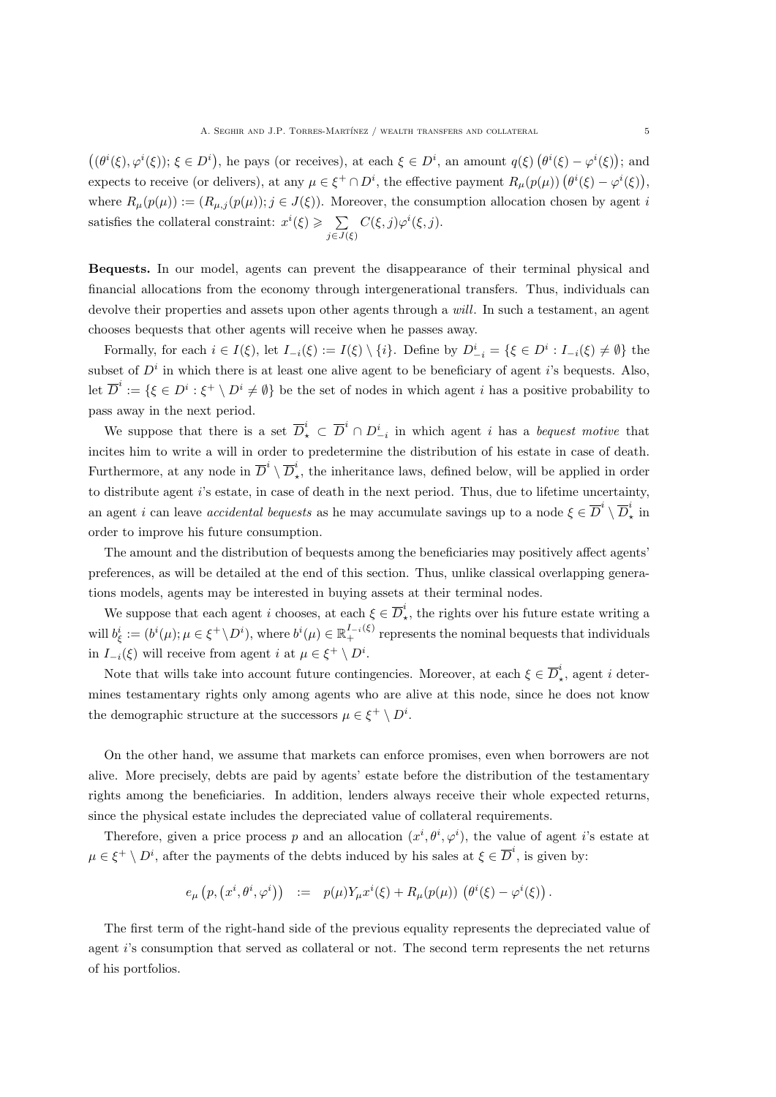$((\theta^i(\xi), \varphi^i(\xi)); \xi \in D^i)$ , he pays (or receives), at each  $\xi \in D^i$ , an amount  $q(\xi) (\theta^i(\xi) - \varphi^i(\xi))$ ; and expects to receive (or delivers), at any  $\mu \in \xi^+ \cap D^i$ , the effective payment  $R_\mu(p(\mu))$   $(\theta^i(\xi) - \varphi^i(\xi))$ , where  $R_{\mu}(p(\mu)) := (R_{\mu,j}(p(\mu)); j \in J(\xi))$ . Moreover, the consumption allocation chosen by agent i satisfies the collateral constraint:  $x^{i}(\xi) \geqslant \sum$  $j\in J(\xi)$  $C(\xi, j)\varphi^i(\xi, j).$ 

Bequests. In our model, agents can prevent the disappearance of their terminal physical and financial allocations from the economy through intergenerational transfers. Thus, individuals can devolve their properties and assets upon other agents through a *will*. In such a testament, an agent chooses bequests that other agents will receive when he passes away.

Formally, for each  $i \in I(\xi)$ , let  $I_{-i}(\xi) := I(\xi) \setminus \{i\}$ . Define by  $D_{-i}^i = \{\xi \in D^i : I_{-i}(\xi) \neq \emptyset\}$  the subset of  $D<sup>i</sup>$  in which there is at least one alive agent to be beneficiary of agent i's bequests. Also, let  $\overline{D}^i := \{ \xi \in D^i : \xi^+ \setminus D^i \neq \emptyset \}$  be the set of nodes in which agent i has a positive probability to pass away in the next period.

We suppose that there is a set  $\overline{D}_{\star}^i \subset \overline{D}^i \cap D_{-i}^i$  in which agent i has a bequest motive that incites him to write a will in order to predetermine the distribution of his estate in case of death. Furthermore, at any node in  $\overline{D}^i \setminus \overline{D}^i$ , ⋆ , the inheritance laws, defined below, will be applied in order to distribute agent i's estate, in case of death in the next period. Thus, due to lifetime uncertainty, an agent *i* can leave *accidental bequests* as he may accumulate savings up to a node  $\xi \in \overline{D}^i \setminus \overline{D}^i$ ,  $\frac{1}{\ast}$  in order to improve his future consumption.

The amount and the distribution of bequests among the beneficiaries may positively affect agents' preferences, as will be detailed at the end of this section. Thus, unlike classical overlapping generations models, agents may be interested in buying assets at their terminal nodes.

We suppose that each agent i chooses, at each  $\xi \in \overline{D}_i^i$  $\phi_{\star}$ , the rights over his future estate writing a will  $b_{\xi}^{i} := (b^{i}(\mu); \mu \in \xi^{+} \setminus D^{i})$ , where  $b^{i}(\mu) \in \mathbb{R}_{+}^{I_{-i}(\xi)}$  represents the nominal bequests that individuals in  $I_{-i}(\xi)$  will receive from agent i at  $\mu \in \xi^+ \setminus D^i$ .

Note that wills take into account future contingencies. Moreover, at each  $\xi \in \overline{D}_i^i$  $\chi$ , agent *i* determines testamentary rights only among agents who are alive at this node, since he does not know the demographic structure at the successors  $\mu \in \xi^+ \setminus D^i$ .

On the other hand, we assume that markets can enforce promises, even when borrowers are not alive. More precisely, debts are paid by agents' estate before the distribution of the testamentary rights among the beneficiaries. In addition, lenders always receive their whole expected returns, since the physical estate includes the depreciated value of collateral requirements.

Therefore, given a price process p and an allocation  $(x^i, \theta^i, \varphi^i)$ , the value of agent i's estate at  $\mu \in \xi^+ \setminus D^i$ , after the payments of the debts induced by his sales at  $\xi \in \overline{D}^i$ , is given by:

$$
e_{\mu}\left(p,\left(x^{i},\theta^{i},\varphi^{i}\right)\right) \quad := \quad p(\mu)Y_{\mu}x^{i}(\xi) + R_{\mu}(p(\mu))\left(\theta^{i}(\xi) - \varphi^{i}(\xi)\right).
$$

The first term of the right-hand side of the previous equality represents the depreciated value of agent i's consumption that served as collateral or not. The second term represents the net returns of his portfolios.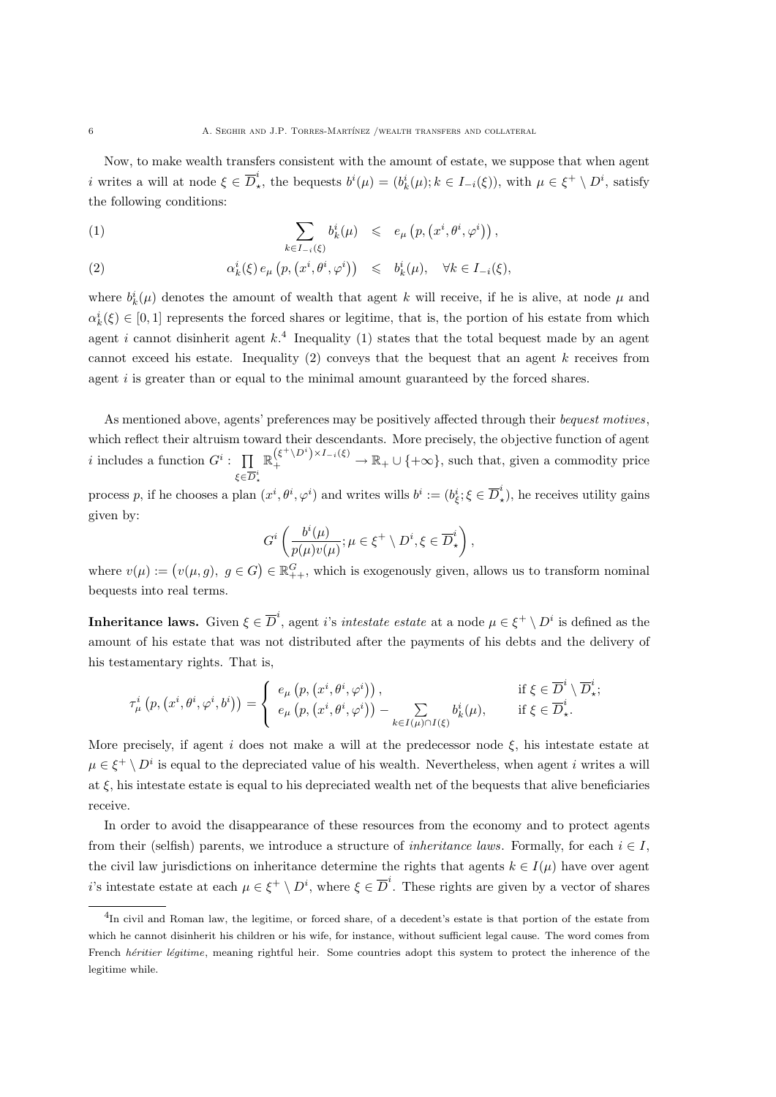Now, to make wealth transfers consistent with the amount of estate, we suppose that when agent *i* writes a will at node  $\xi \in \overline{D}_i^i$ <sup>*i*</sup>, the bequests  $b^i(\mu) = (b^i_k(\mu); k \in I_{-i}(\xi))$ , with  $\mu \in \xi^+ \setminus D^i$ , satisfy the following conditions:

(1) 
$$
\sum_{k \in I_{-i}(\xi)} b_k^i(\mu) \leqslant e_{\mu} \left( p, \left( x^i, \theta^i, \varphi^i \right) \right),
$$

(2) 
$$
\alpha_k^i(\xi) e_\mu(p, (x^i, \theta^i, \varphi^i)) \leq b_k^i(\mu), \quad \forall k \in I_{-i}(\xi),
$$

where  $b_k^i(\mu)$  denotes the amount of wealth that agent k will receive, if he is alive, at node  $\mu$  and  $\alpha_k^i(\xi) \in [0,1]$  represents the forced shares or legitime, that is, the portion of his estate from which agent i cannot disinherit agent  $k<sup>4</sup>$  Inequality (1) states that the total bequest made by an agent cannot exceed his estate. Inequality (2) conveys that the bequest that an agent k receives from agent  $i$  is greater than or equal to the minimal amount guaranteed by the forced shares.

As mentioned above, agents' preferences may be positively affected through their bequest motives, which reflect their altruism toward their descendants. More precisely, the objective function of agent i includes a function  $G^i$ :  $\prod$  $\xi \in \overline{D}^i_\star$  $\mathbb{R}_+^{(\xi^+\setminus D^i)\times I_{-i}(\xi)} \to \mathbb{R}_+ \cup \{+\infty\}$ , such that, given a commodity price

process p, if he chooses a plan  $(x^i, \theta^i, \varphi^i)$  and writes wills  $b^i := (b^i_{\xi}, \xi \in \overline{D}^i_{\xi})$  $\chi^*$ ), he receives utility gains given by:

$$
G^i\left(\frac{b^i(\mu)}{p(\mu)v(\mu)};\mu\in\xi^+\setminus D^i,\xi\in \overline{D}_{\star}^i\right),
$$

where  $v(\mu) := (v(\mu, g), g \in G) \in \mathbb{R}^G_{++}$ , which is exogenously given, allows us to transform nominal bequests into real terms.

**Inheritance laws.** Given  $\xi \in \overline{D}^i$ , agent *i*'s *intestate estate* at a node  $\mu \in \xi^+ \setminus D^i$  is defined as the amount of his estate that was not distributed after the payments of his debts and the delivery of his testamentary rights. That is,

$$
\tau^i_\mu\left(p,\left(x^i,\theta^i,\varphi^i,b^i\right)\right) = \begin{cases} e_\mu\left(p,\left(x^i,\theta^i,\varphi^i\right)\right), & \text{if } \xi \in \overline{D}^i \setminus \overline{D}^i_\star; \\ e_\mu\left(p,\left(x^i,\theta^i,\varphi^i\right)\right) - \sum_{k \in I(\mu) \cap I(\xi)} b^i_k(\mu), & \text{if } \xi \in \overline{D}^i_\star. \end{cases}
$$

More precisely, if agent i does not make a will at the predecessor node  $\xi$ , his intestate estate at  $\mu \in \xi^+ \setminus D^i$  is equal to the depreciated value of his wealth. Nevertheless, when agent i writes a will at  $\xi$ , his intestate estate is equal to his depreciated wealth net of the bequests that alive beneficiaries receive.

In order to avoid the disappearance of these resources from the economy and to protect agents from their (selfish) parents, we introduce a structure of *inheritance laws*. Formally, for each  $i \in I$ , the civil law jurisdictions on inheritance determine the rights that agents  $k \in I(\mu)$  have over agent i's intestate estate at each  $\mu \in \xi^+ \setminus D^i$ , where  $\xi \in \overline{D}^i$ . These rights are given by a vector of shares

<sup>4</sup> In civil and Roman law, the legitime, or forced share, of a decedent's estate is that portion of the estate from which he cannot disinherit his children or his wife, for instance, without sufficient legal cause. The word comes from French héritier légitime, meaning rightful heir. Some countries adopt this system to protect the inherence of the legitime while.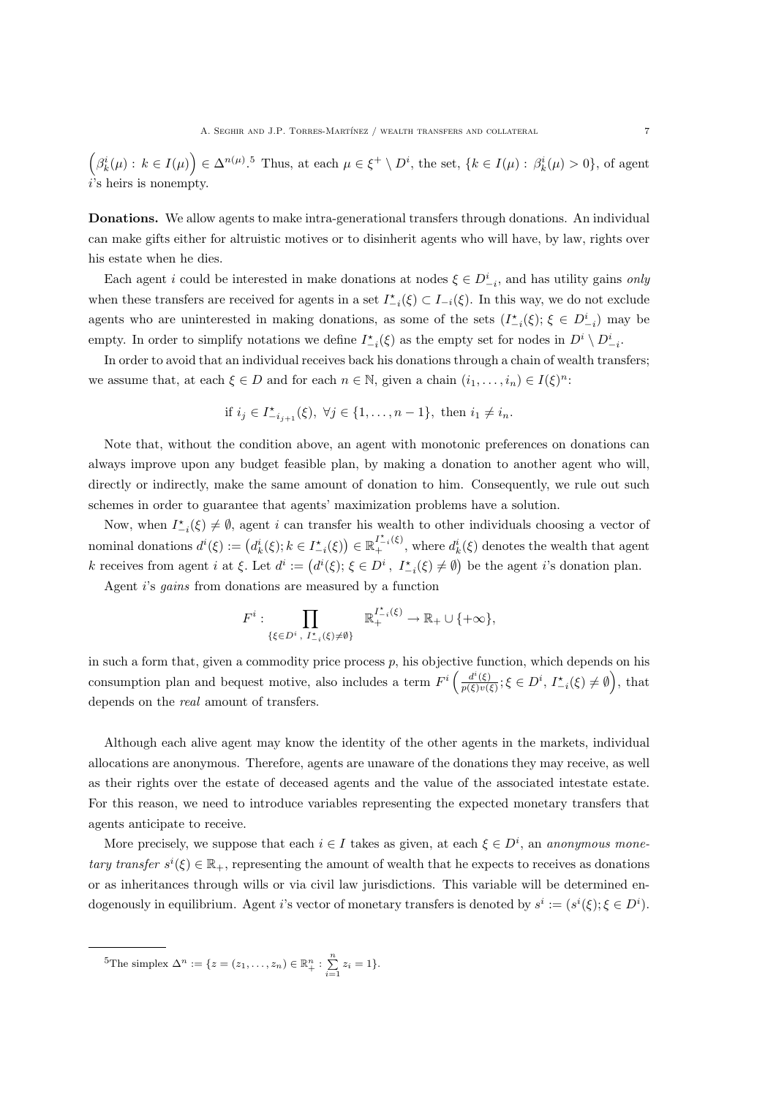$\left(\beta_k^i(\mu): k \in I(\mu)\right) \in \Delta^{n(\mu)}$ .<sup>5</sup> Thus, at each  $\mu \in \xi^+ \setminus D^i$ , the set,  $\{k \in I(\mu): \beta_k^i(\mu) > 0\}$ , of agent  $i$ 's heirs is nonempty.

Donations. We allow agents to make intra-generational transfers through donations. An individual can make gifts either for altruistic motives or to disinherit agents who will have, by law, rights over his estate when he dies.

Each agent i could be interested in make donations at nodes  $\xi \in D_{-i}^i$ , and has utility gains only when these transfers are received for agents in a set  $I_{-i}^*(\xi) \subset I_{-i}(\xi)$ . In this way, we do not exclude agents who are uninterested in making donations, as some of the sets  $(I_{-i}^*(\xi); \xi \in D_{-i}^i)$  may be empty. In order to simplify notations we define  $I_{-i}^{\star}(\xi)$  as the empty set for nodes in  $D^i \setminus D_{-i}^i$ .

In order to avoid that an individual receives back his donations through a chain of wealth transfers; we assume that, at each  $\xi \in D$  and for each  $n \in \mathbb{N}$ , given a chain  $(i_1, \ldots, i_n) \in I(\xi)^n$ :

if 
$$
i_j \in I^*_{-i_{j+1}}(\xi)
$$
,  $\forall j \in \{1, ..., n-1\}$ , then  $i_1 \neq i_n$ .

Note that, without the condition above, an agent with monotonic preferences on donations can always improve upon any budget feasible plan, by making a donation to another agent who will, directly or indirectly, make the same amount of donation to him. Consequently, we rule out such schemes in order to guarantee that agents' maximization problems have a solution.

Now, when  $I_{-i}^*(\xi) \neq \emptyset$ , agent i can transfer his wealth to other individuals choosing a vector of nominal donations  $d^i(\xi) := (d^i_k(\xi); k \in I^*_{-i}(\xi)) \in \mathbb{R}^{I^*_{-i}(\xi)}_+$ , where  $d^i_k(\xi)$  denotes the wealth that agent k receives from agent i at  $\xi$ . Let  $d^i := (d^i(\xi); \xi \in D^i, I^*_{-i}(\xi) \neq \emptyset)$  be the agent i's donation plan.

Agent i's gains from donations are measured by a function

$$
F^i: \prod_{\{\xi \in D^i, I^*_{-i}(\xi) \neq \emptyset\}} \mathbb{R}_+^{I^*_{-i}(\xi)} \to \mathbb{R}_+ \cup \{\pm \infty\},\
$$

in such a form that, given a commodity price process  $p$ , his objective function, which depends on his consumption plan and bequest motive, also includes a term  $F^i\left(\frac{d^i(\xi)}{n(\xi)v_i(\xi)}\right)$  $\frac{d^i(\xi)}{p(\xi)v(\xi)}$ ;  $\xi \in D^i$ ,  $I_{-i}^{\star}(\xi) \neq \emptyset$ , that depends on the real amount of transfers.

Although each alive agent may know the identity of the other agents in the markets, individual allocations are anonymous. Therefore, agents are unaware of the donations they may receive, as well as their rights over the estate of deceased agents and the value of the associated intestate estate. For this reason, we need to introduce variables representing the expected monetary transfers that agents anticipate to receive.

More precisely, we suppose that each  $i \in I$  takes as given, at each  $\xi \in D^i$ , an anonymous monetary transfer  $s^i(\xi) \in \mathbb{R}_+$ , representing the amount of wealth that he expects to receives as donations or as inheritances through wills or via civil law jurisdictions. This variable will be determined endogenously in equilibrium. Agent i's vector of monetary transfers is denoted by  $s^i := (s^i(\xi); \xi \in D^i)$ .

<sup>5</sup>The simplex Δ<sup>n</sup> := {z = (z<sub>1</sub>, ..., z<sub>n</sub>) ∈ ℝ<sup>n</sup><sub>+</sub> :  $\sum_{i=1}^{n} z_i = 1$ }.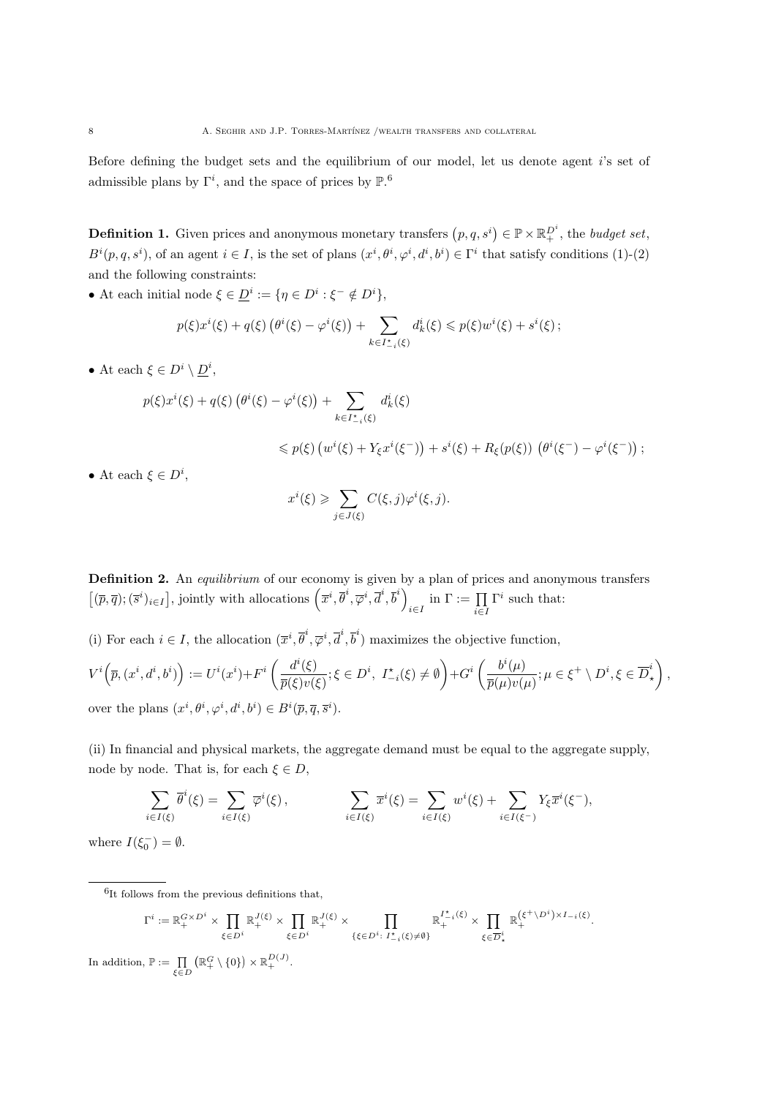Before defining the budget sets and the equilibrium of our model, let us denote agent i's set of admissible plans by  $\Gamma^i$ , and the space of prices by  $\mathbb{P}.\!^6$ 

**Definition 1.** Given prices and anonymous monetary transfers  $(p, q, s^i) \in \mathbb{P} \times \mathbb{R}_+^{D^i}$ , the budget set,  $B^{i}(p,q,s^{i})$ , of an agent  $i \in I$ , is the set of plans  $(x^{i},\theta^{i},\varphi^{i},d^{i},b^{i}) \in \Gamma^{i}$  that satisfy conditions (1)-(2) and the following constraints:

• At each initial node  $\xi \in \underline{D}^i := \{ \eta \in D^i : \xi^- \notin D^i \},\$ 

$$
p(\xi)x^{i}(\xi) + q(\xi)\left(\theta^{i}(\xi) - \varphi^{i}(\xi)\right) + \sum_{k \in I^{*}_{-i}(\xi)} d_{k}^{i}(\xi) \leq p(\xi)w^{i}(\xi) + s^{i}(\xi);
$$

• At each  $\xi \in D^i \setminus \underline{D}^i$ ,

$$
p(\xi)x^{i}(\xi) + q(\xi)\left(\theta^{i}(\xi) - \varphi^{i}(\xi)\right) + \sum_{k \in I^{*}_{-i}(\xi)} d_{k}^{i}(\xi)
$$
  
\$\leqslant p(\xi) \left(w^{i}(\xi) + Y\_{\xi}x^{i}(\xi^{-})\right) + s^{i}(\xi) + R\_{\xi}(p(\xi)) \left(\theta^{i}(\xi^{-}) - \varphi^{i}(\xi^{-})\right) ;\$

• At each  $\xi \in D^i$ ,

$$
x^{i}(\xi) \geqslant \sum_{j \in J(\xi)} C(\xi, j) \varphi^{i}(\xi, j).
$$

Definition 2. An equilibrium of our economy is given by a plan of prices and anonymous transfers  $[(\bar{p}, \bar{q}); (\bar{s}^i)_{i \in I}]$ , jointly with allocations  $(\bar{x}^i, \bar{\theta}^i, \bar{\varphi}^i, \bar{d}^i, \bar{b}^i)$  $\lim_{i\in I} \Gamma := \prod_{i\in I}$ i∈I  $\Gamma^i$  such that:

(i) For each  $i \in I$ , the allocation  $(\overline{x}^i, \overline{\theta}^i, \overline{\varphi}^i, \overline{d}^i, \overline{b}^i)$  maximizes the objective function,

$$
V^{i}\left(\overline{p},(x^{i},d^{i},b^{i})\right) := U^{i}(x^{i}) + F^{i}\left(\frac{d^{i}(\xi)}{\overline{p}(\xi)v(\xi)};\xi \in D^{i}, \ I_{-i}^{\star}(\xi) \neq \emptyset\right) + G^{i}\left(\frac{b^{i}(\mu)}{\overline{p}(\mu)v(\mu)};\mu \in \xi^{+} \setminus D^{i},\xi \in \overline{D}_{\star}^{i}\right),
$$
  
over the plans  $(x^{i},\theta^{i},\varphi^{i},d^{i},b^{i}) \in B^{i}(\overline{p},\overline{q},\overline{s}^{i}).$ 

(ii) In financial and physical markets, the aggregate demand must be equal to the aggregate supply, node by node. That is, for each  $\xi \in D$ ,

$$
\sum_{i \in I(\xi)} \overline{\theta}^i(\xi) = \sum_{i \in I(\xi)} \overline{\varphi}^i(\xi), \qquad \sum_{i \in I(\xi)} \overline{x}^i(\xi) = \sum_{i \in I(\xi)} w^i(\xi) + \sum_{i \in I(\xi^{-})} Y_{\xi} \overline{x}^i(\xi^{-}),
$$

where  $I(\xi_0^-)=\emptyset$ .

<sup>6</sup>It follows from the previous definitions that,

$$
\Gamma^i := \mathbb{R}_+^{G \times D^i} \times \prod_{\xi \in D^i} \mathbb{R}_+^{J(\xi)} \times \prod_{\xi \in D^i} \mathbb{R}_+^{J(\xi)} \times \prod_{\{\xi \in D^i : I_{-i}^*(\xi) \neq \emptyset\}} \mathbb{R}_+^{I_{-i}^*(\xi)} \times \prod_{\xi \in \overline{D}^i_*} \mathbb{R}_+^{(\xi^+ \setminus D^i) \times I_{-i}(\xi)}.
$$
  
n, P :=  $\prod (\mathbb{R}_+^G \setminus \{0\}) \times \mathbb{R}_+^{D(J)}.$ 

In addition,  ${\mathbb F}$  $\prod_{\xi\in D} (\mathbb{R}^G_+ \setminus \{0\}) \times \mathbb{R}^{D(J)}_+.$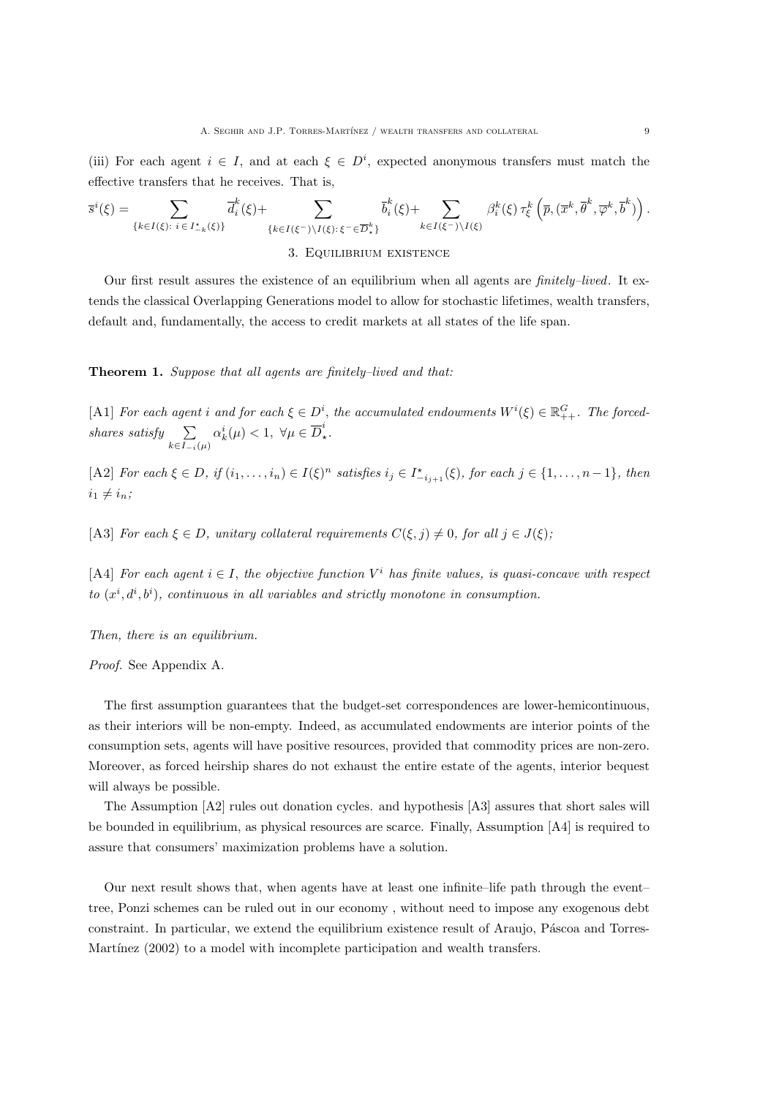(iii) For each agent  $i \in I$ , and at each  $\xi \in D^i$ , expected anonymous transfers must match the effective transfers that he receives. That is,

$$
\overline{s}^i(\xi) = \sum_{\{k \in I(\xi): \ i \in I_{-\kappa}^{\star}(\xi)\}} \overline{d}_i^k(\xi) + \sum_{\{k \in I(\xi^-) \setminus I(\xi): \ \xi^- \in \overline{D}_{\star}^k\}} \overline{b}_i^k(\xi) + \sum_{k \in I(\xi^-) \setminus I(\xi)} \beta_i^k(\xi) \tau_{\xi}^k(\overline{p}, (\overline{x}^k, \overline{\theta}^k, \overline{\phi}^k, \overline{b}^k)) .
$$

3. Equilibrium existence

Our first result assures the existence of an equilibrium when all agents are finitely–lived. It extends the classical Overlapping Generations model to allow for stochastic lifetimes, wealth transfers, default and, fundamentally, the access to credit markets at all states of the life span.

Theorem 1. Suppose that all agents are finitely-lived and that:

[A1] For each agent i and for each  $\xi \in D^i$ , the accumulated endowments  $W^i(\xi) \in \mathbb{R}^G_{++}$ . The forcedshares satisfy  $\sum$  $k \in I_{-i}(\mu)$  $\alpha_k^i(\mu) < 1, \ \forall \mu \in \overline{D}_\star^i$  $\cdot$ .

[A2] For each  $\xi \in D$ , if  $(i_1, \ldots, i_n) \in I(\xi)^n$  satisfies  $i_j \in I^*_{-i_{j+1}}(\xi)$ , for each  $j \in \{1, \ldots, n-1\}$ , then  $i_1 \neq i_n;$ 

[A3] For each  $\xi \in D$ , unitary collateral requirements  $C(\xi, j) \neq 0$ , for all  $j \in J(\xi)$ ;

[A4] For each agent  $i \in I$ , the objective function  $V^i$  has finite values, is quasi-concave with respect to  $(x^{i}, d^{i}, b^{i})$ , continuous in all variables and strictly monotone in consumption.

Then, there is an equilibrium.

Proof. See Appendix A.

The first assumption guarantees that the budget-set correspondences are lower-hemicontinuous, as their interiors will be non-empty. Indeed, as accumulated endowments are interior points of the consumption sets, agents will have positive resources, provided that commodity prices are non-zero. Moreover, as forced heirship shares do not exhaust the entire estate of the agents, interior bequest will always be possible.

The Assumption [A2] rules out donation cycles. and hypothesis [A3] assures that short sales will be bounded in equilibrium, as physical resources are scarce. Finally, Assumption [A4] is required to assure that consumers' maximization problems have a solution.

Our next result shows that, when agents have at least one infinite–life path through the event– tree, Ponzi schemes can be ruled out in our economy , without need to impose any exogenous debt constraint. In particular, we extend the equilibrium existence result of Araujo, Páscoa and Torres-Martínez  $(2002)$  to a model with incomplete participation and wealth transfers.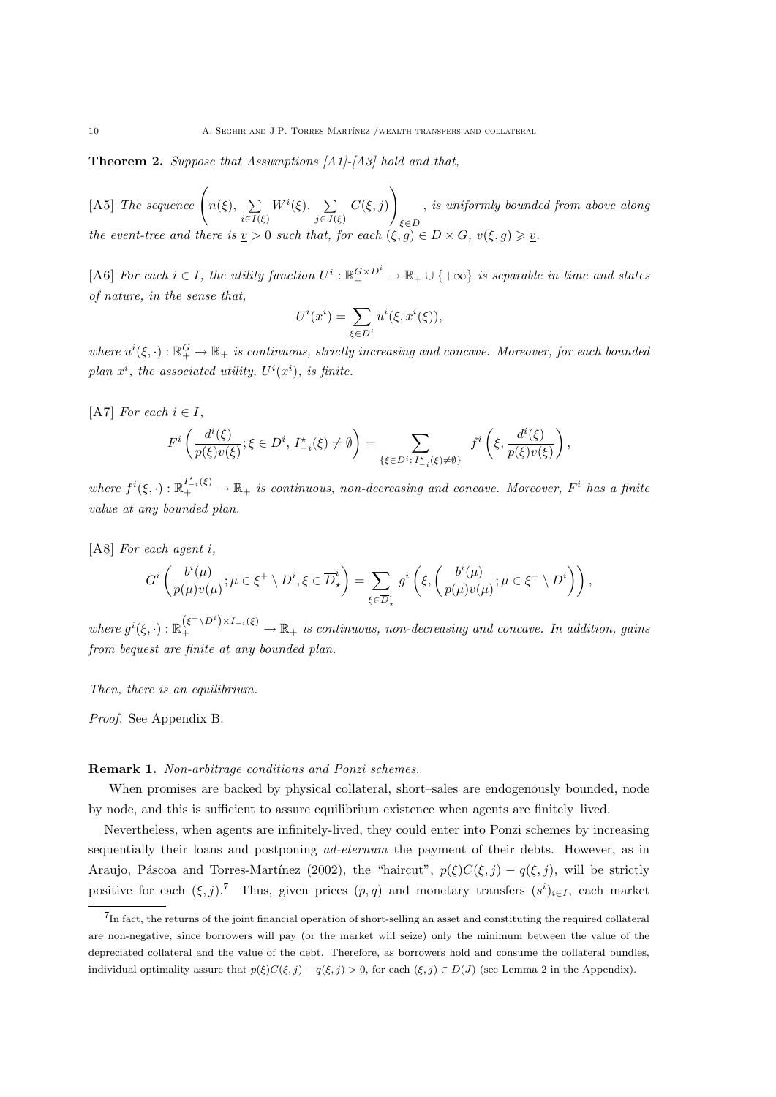Theorem 2. Suppose that Assumptions [A1]-[A3] hold and that,

[A5] The sequence  $\left(n(\xi), \sum_{i=1}^{\infty} \frac{1}{i} \sum_{j=1}^{n} \frac{1}{j} \right)$  $i \in I(\xi)$  $W^i(\xi), \quad \sum$  $j\in J(\xi)$  $C(\xi, j)$  $\setminus$ ξ∈D , is uniformly bounded from above along the event-tree and there is  $\underline{v} > 0$  such that, for each  $(\xi, g) \in D \times G$ ,  $v(\xi, g) \geq \underline{v}$ .

[A6] For each  $i \in I$ , the utility function  $U^i : \mathbb{R}_+^{G \times D^i} \to \mathbb{R}_+ \cup \{+\infty\}$  is separable in time and states of nature, in the sense that,

$$
U^i(x^i) = \sum_{\xi \in D^i} u^i(\xi, x^i(\xi)),
$$

where  $u^i(\xi, \cdot): \mathbb{R}_+^G \to \mathbb{R}_+$  is continuous, strictly increasing and concave. Moreover, for each bounded plan  $x^i$ , the associated utility,  $U^i(x^i)$ , is finite.

[A7] For each  $i \in I$ ,

$$
F^i\left(\frac{d^i(\xi)}{p(\xi)v(\xi)};\xi\in D^i,\,I^\star_{-i}(\xi)\neq\emptyset\right)=\sum_{\{\xi\in D^i:\,I^\star_{-i}(\xi)\neq\emptyset\}}\;f^i\left(\xi,\frac{d^i(\xi)}{p(\xi)v(\xi)}\right),
$$

where  $f^i(\xi, \cdot): \mathbb{R}^{I^*_{-i}(\xi)}_+ \to \mathbb{R}_+$  is continuous, non-decreasing and concave. Moreover,  $F^i$  has a finite value at any bounded plan.

[A8] For each agent i,

$$
G^i\left(\frac{b^i(\mu)}{p(\mu)v(\mu)};\mu\in\xi^+\setminus D^i,\xi\in\overline{D}_{\star}^i\right)=\sum_{\xi\in\overline{D}_{\star}^i}g^i\left(\xi,\left(\frac{b^i(\mu)}{p(\mu)v(\mu)};\mu\in\xi^+\setminus D^i\right)\right),
$$

where  $g^i(\xi, \cdot): \mathbb{R}_+^{(\xi^+\setminus D^i)\times I_{-i}(\xi)} \to \mathbb{R}_+$  is continuous, non-decreasing and concave. In addition, gains from bequest are finite at any bounded plan.

Then, there is an equilibrium.

Proof. See Appendix B.

#### Remark 1. Non-arbitrage conditions and Ponzi schemes.

When promises are backed by physical collateral, short–sales are endogenously bounded, node by node, and this is sufficient to assure equilibrium existence when agents are finitely–lived.

Nevertheless, when agents are infinitely-lived, they could enter into Ponzi schemes by increasing sequentially their loans and postponing *ad-eternum* the payment of their debts. However, as in Araujo, Páscoa and Torres-Martínez (2002), the "haircut",  $p(\xi)C(\xi, j) - q(\xi, j)$ , will be strictly positive for each  $(\xi, j)$ .<sup>7</sup> Thus, given prices  $(p, q)$  and monetary transfers  $(s^i)_{i \in I}$ , each market

<sup>&</sup>lt;sup>7</sup>In fact, the returns of the joint financial operation of short-selling an asset and constituting the required collateral are non-negative, since borrowers will pay (or the market will seize) only the minimum between the value of the depreciated collateral and the value of the debt. Therefore, as borrowers hold and consume the collateral bundles, individual optimality assure that  $p(\xi)C(\xi, j) - q(\xi, j) > 0$ , for each  $(\xi, j) \in D(J)$  (see Lemma 2 in the Appendix).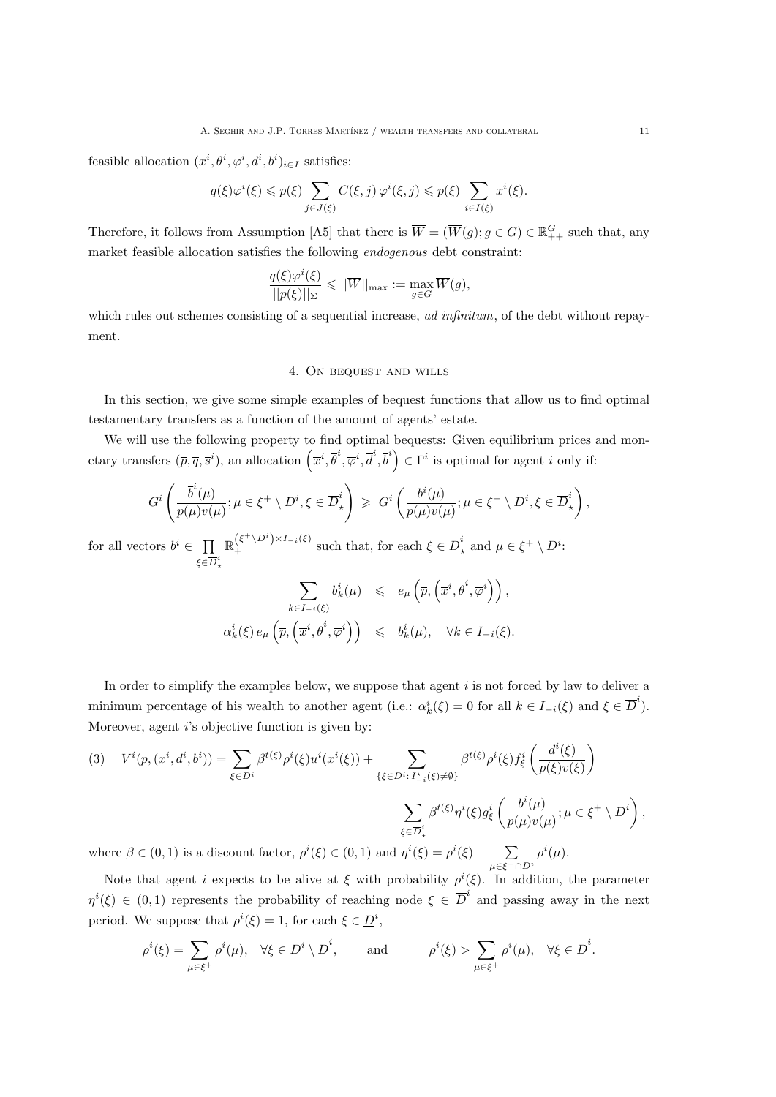feasible allocation  $(x^i, \theta^i, \varphi^i, d^i, b^i)_{i \in I}$  satisfies:

$$
q(\xi)\varphi^{i}(\xi) \leqslant p(\xi) \sum_{j \in J(\xi)} C(\xi, j) \varphi^{i}(\xi, j) \leqslant p(\xi) \sum_{i \in I(\xi)} x^{i}(\xi).
$$

Therefore, it follows from Assumption [A5] that there is  $\overline{W} = (\overline{W}(g); g \in G) \in \mathbb{R}^G_{++}$  such that, any market feasible allocation satisfies the following endogenous debt constraint:

$$
\frac{q(\xi)\varphi^i(\xi)}{||p(\xi)||_{\Sigma}} \leq ||\overline{W}||_{\max} := \max_{g \in G} \overline{W}(g),
$$

which rules out schemes consisting of a sequential increase, ad infinitum, of the debt without repayment.

#### 4. On bequest and wills

In this section, we give some simple examples of bequest functions that allow us to find optimal testamentary transfers as a function of the amount of agents' estate.

We will use the following property to find optimal bequests: Given equilibrium prices and monetary transfers  $(\bar{p}, \bar{q}, \bar{s}^i)$ , an allocation  $(\bar{x}^i, \bar{\theta}^i, \bar{\varphi}^i, \bar{d}^i, \bar{b}^i) \in \Gamma^i$  is optimal for agent i only if:

$$
G^i\left(\frac{\overline{b}^i(\mu)}{\overline{p}(\mu)v(\mu)};\mu\in\xi^+\setminus D^i,\xi\in\overline{D}_{\star}^i\right)\,\geqslant\, G^i\left(\frac{b^i(\mu)}{\overline{p}(\mu)v(\mu)};\mu\in\xi^+\setminus D^i,\xi\in\overline{D}_{\star}^i\right),
$$

for all vectors  $b^i \in \prod$  $\xi \in \overline{D}^i_\star$  $\mathbb{R}^{(\xi^+\setminus D^i)\times I_{-i}(\xi)}$  such that, for each  $\xi \in \overline{D}^i_\star$  and  $\mu \in \xi^+ \setminus D^i$ :

$$
\sum_{k \in I_{-i}(\xi)} b_k^i(\mu) \leq e_{\mu} \left( \overline{p}, \left( \overline{x}^i, \overline{\theta}^i, \overline{\varphi}^i \right) \right),
$$
  

$$
\alpha_k^i(\xi) e_{\mu} \left( \overline{p}, \left( \overline{x}^i, \overline{\theta}^i, \overline{\varphi}^i \right) \right) \leq b_k^i(\mu), \quad \forall k \in I_{-i}(\xi).
$$

In order to simplify the examples below, we suppose that agent  $i$  is not forced by law to deliver a minimum percentage of his wealth to another agent (i.e.:  $\alpha_k^i(\xi) = 0$  for all  $k \in I_{-i}(\xi)$  and  $\xi \in \overline{D}^i$ ). Moreover, agent  $i$ 's objective function is given by:

(3) 
$$
V^{i}(p,(x^{i},d^{i},b^{i})) = \sum_{\xi \in D^{i}} \beta^{t(\xi)} \rho^{i}(\xi) u^{i}(x^{i}(\xi)) + \sum_{\{\xi \in D^{i}: I^{*}_{-i}(\xi) \neq \emptyset\}} \beta^{t(\xi)} \rho^{i}(\xi) f^{i}_{\xi} \left(\frac{d^{i}(\xi)}{p(\xi)v(\xi)}\right) + \sum_{\xi \in \overline{D}^{i}_{\star}} \beta^{t(\xi)} \eta^{i}(\xi) g^{i}_{\xi} \left(\frac{b^{i}(\mu)}{p(\mu)v(\mu)}; \mu \in \xi^{+} \setminus D^{i}\right),
$$
  
where  $\beta \in (0,1)$  is a discount factor,  $\rho^{i}(\xi) \in (0,1)$  and  $\eta^{i}(\xi) = \rho^{i}(\xi) - \sum_{\mu \in \xi^{+} \cap D^{i}} \rho^{i}(\mu)$ .

Note that agent *i* expects to be alive at  $\xi$  with probability  $\rho^{i}(\xi)$ . In addition, the parameter  $\eta^{i}(\xi) \in (0,1)$  represents the probability of reaching node  $\xi \in \overline{D}^{i}$  and passing away in the next period. We suppose that  $\rho^{i}(\xi) = 1$ , for each  $\xi \in \underline{D}^{i}$ ,

$$
\rho^i(\xi) = \sum_{\mu \in \xi^+} \rho^i(\mu), \quad \forall \xi \in D^i \setminus \overline{D}^i, \quad \text{and} \quad \rho^i(\xi) > \sum_{\mu \in \xi^+} \rho^i(\mu), \quad \forall \xi \in \overline{D}^i.
$$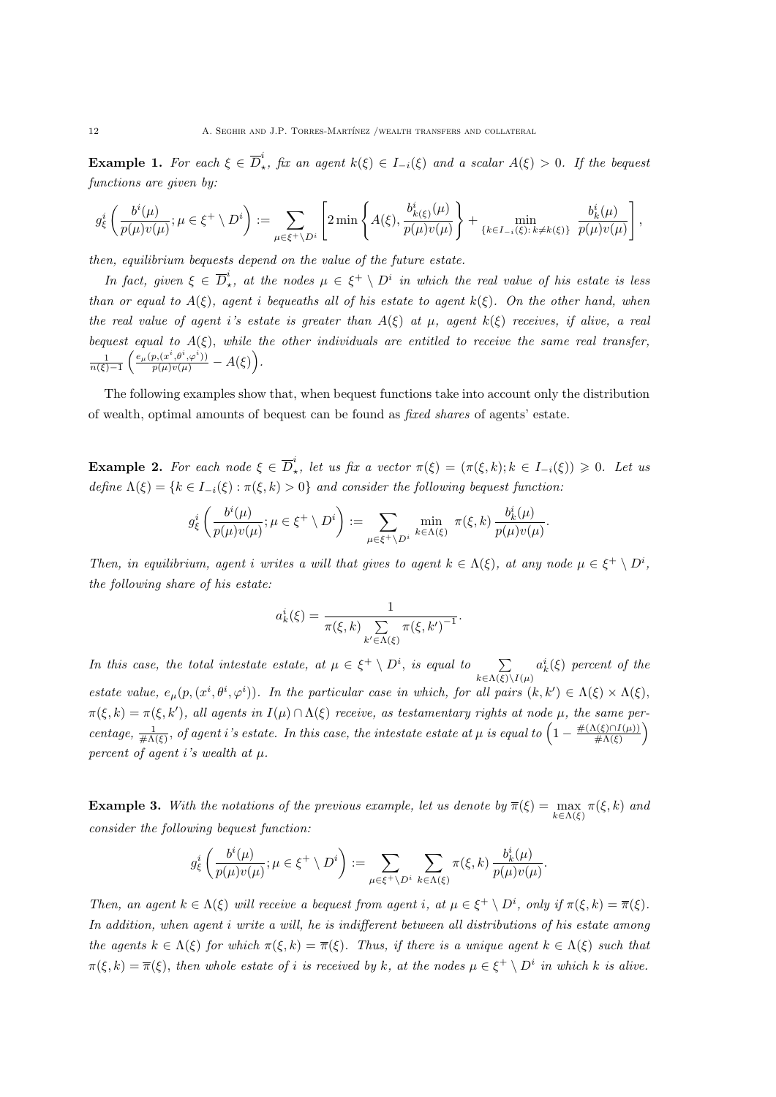**Example 1.** For each  $\xi \in \overline{D}_t^i$  $\chi^*$ , fix an agent  $k(\xi) \in I_{-i}(\xi)$  and a scalar  $A(\xi) > 0$ . If the bequest functions are given by:

$$
g_{\xi}^{i}\left(\frac{b^{i}(\mu)}{p(\mu)v(\mu)};\mu\in\xi^{+}\setminus D^{i}\right):=\sum_{\mu\in\xi^{+}\setminus D^{i}}\left[2\min\left\{A(\xi),\frac{b_{k(\xi)}^{i}(\mu)}{p(\mu)v(\mu)}\right\}+\min_{\{k\in I_{-i}(\xi):k\neq k(\xi)\}}\frac{b_{k}^{i}(\mu)}{p(\mu)v(\mu)}\right],
$$

then, equilibrium bequests depend on the value of the future estate.

In fact, given  $\xi \in \overline{D}_\star^i$  $\mu^i_{\star}$ , at the nodes  $\mu \in \xi^+ \setminus D^i$  in which the real value of his estate is less than or equal to  $A(\xi)$ , agent i bequeaths all of his estate to agent  $k(\xi)$ . On the other hand, when the real value of agent i's estate is greater than  $A(\xi)$  at  $\mu$ , agent  $k(\xi)$  receives, if alive, a real bequest equal to  $A(\xi)$ , while the other individuals are entitled to receive the same real transfer,  $\frac{1}{n(\xi)-1}\left(\frac{e_\mu(p,(x^i,\theta^i,\varphi^i))}{p(\mu)v(\mu)}-A(\xi)\right).$ 

The following examples show that, when bequest functions take into account only the distribution of wealth, optimal amounts of bequest can be found as fixed shares of agents' estate.

**Example 2.** For each node  $\xi \in \overline{D}_{\xi}^i$ <sup>\*</sup>, let us fix a vector  $\pi(\xi) = (\pi(\xi, k); k \in I_{-i}(\xi)) \geq 0$ . Let us define  $\Lambda(\xi) = \{k \in I_{-i}(\xi) : \pi(\xi, k) > 0\}$  and consider the following bequest function:

$$
g_{\xi}^{i}\left(\frac{b^{i}(\mu)}{p(\mu)v(\mu)};\mu\in\xi^{+}\setminus D^{i}\right):=\sum_{\mu\in\xi^{+}\setminus D^{i}}\min_{k\in\Lambda(\xi)}\pi(\xi,k)\frac{b_{k}^{i}(\mu)}{p(\mu)v(\mu)}.
$$

Then, in equilibrium, agent i writes a will that gives to agent  $k \in \Lambda(\xi)$ , at any node  $\mu \in \xi^+ \setminus D^i$ , the following share of his estate:

$$
a_k^i(\xi) = \frac{1}{\pi(\xi, k) \sum_{k' \in \Lambda(\xi)} \pi(\xi, k')^{-1}}.
$$

In this case, the total intestate estate, at  $\mu \in \xi^+ \setminus D^i$ , is equal to  $\sum$  $k \in \Lambda(\xi) \backslash I(\mu)$  $a_k^i(\xi)$  percent of the estate value,  $e_{\mu}(p,(x^i,\theta^i,\varphi^i))$ . In the particular case in which, for all pairs  $(k,k') \in \Lambda(\xi) \times \Lambda(\xi)$ ,  $\pi(\xi, k) = \pi(\xi, k')$ , all agents in  $I(\mu) \cap \Lambda(\xi)$  receive, as testamentary rights at node  $\mu$ , the same percentage,  $\frac{1}{\# \Lambda(\xi)}$ , of agent i's estate. In this case, the intestate estate at  $\mu$  is equal to  $\left(1-\frac{\# (\Lambda(\xi)\cap I(\mu))}{\# \Lambda(\xi)}\right)$  $\frac{\Lambda(\xi)\cap I(\mu))}{\#\Lambda(\xi)}$ percent of agent i's wealth at  $\mu$ .

**Example 3.** With the notations of the previous example, let us denote by  $\overline{\pi}(\xi) = \max_{k \in \Lambda(\xi)} \pi(\xi, k)$  and consider the following bequest function:

$$
g_{\xi}^{i}\left(\frac{b^{i}(\mu)}{p(\mu)v(\mu)};\mu\in\xi^{+}\setminus D^{i}\right):=\sum_{\mu\in\xi^{+}\setminus D^{i}}\sum_{k\in\Lambda(\xi)}\pi(\xi,k)\,\frac{b_{k}^{i}(\mu)}{p(\mu)v(\mu)}.
$$

Then, an agent  $k \in \Lambda(\xi)$  will receive a bequest from agent i, at  $\mu \in \xi^+ \setminus D^i$ , only if  $\pi(\xi, k) = \overline{\pi}(\xi)$ . In addition, when agent i write a will, he is indifferent between all distributions of his estate among the agents  $k \in \Lambda(\xi)$  for which  $\pi(\xi, k) = \overline{\pi}(\xi)$ . Thus, if there is a unique agent  $k \in \Lambda(\xi)$  such that  $\pi(\xi, k) = \overline{\pi}(\xi)$ , then whole estate of i is received by k, at the nodes  $\mu \in \xi^+ \setminus D^i$  in which k is alive.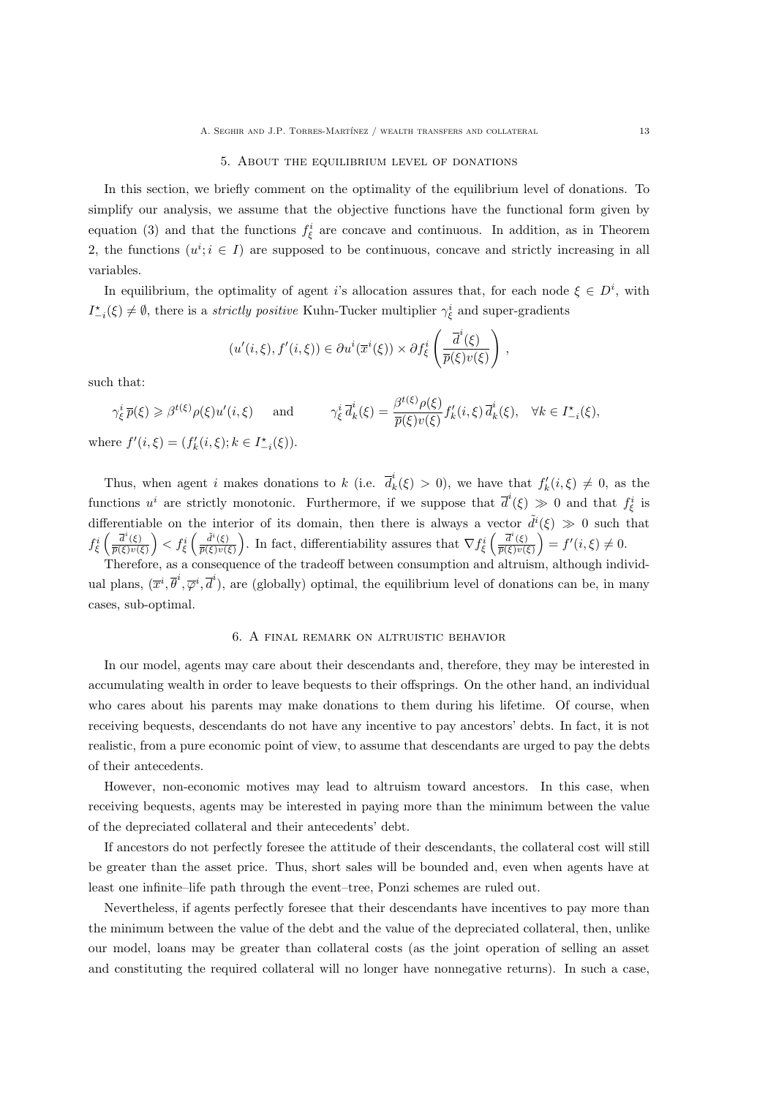#### 5. About the equilibrium level of donations

In this section, we briefly comment on the optimality of the equilibrium level of donations. To simplify our analysis, we assume that the objective functions have the functional form given by equation (3) and that the functions  $f_{\xi}^{i}$  are concave and continuous. In addition, as in Theorem 2, the functions  $(u^i; i \in I)$  are supposed to be continuous, concave and strictly increasing in all variables.

In equilibrium, the optimality of agent i's allocation assures that, for each node  $\xi \in D^i$ , with  $I_{-i}^*(\xi) \neq \emptyset$ , there is a *strictly positive* Kuhn-Tucker multiplier  $\gamma_{\xi}^i$  and super-gradients

$$
(u'(i,\xi),f'(i,\xi)) \in \partial u^i(\overline{x}^i(\xi)) \times \partial f^i_{\xi} \left( \frac{\overline{d}^i(\xi)}{\overline{p}(\xi)v(\xi)} \right),
$$

such that:

$$
\gamma_{\xi}^{i} \overline{p}(\xi) \geqslant \beta^{t(\xi)} \rho(\xi) u'(i, \xi) \quad \text{and} \quad \gamma_{\xi}^{i} \overline{d}_{k}^{i}(\xi) = \frac{\beta^{t(\xi)} \rho(\xi)}{\overline{p}(\xi) v(\xi)} f'_{k}(i, \xi) \overline{d}_{k}^{i}(\xi), \quad \forall k \in I_{-i}^{\star}(\xi),
$$
  
where  $f'(i, \xi) = (f'_{k}(i, \xi); k \in I_{-i}^{\star}(\xi)).$ 

Thus, when agent i makes donations to k (i.e.  $\overline{d}_k^i$  $f'_k(\xi) > 0$ , we have that  $f'_k(i,\xi) \neq 0$ , as the functions  $u^i$  are strictly monotonic. Furthermore, if we suppose that  $\overline{d}^i(\xi) \gg 0$  and that  $f^i_{\xi}$  is differentiable on the interior of its domain, then there is always a vector  $\tilde{d}^i(\xi) \gg 0$  such that  $f_{\xi}^{i}\left(\frac{\overline{d}^{i}(\xi)}{\overline{p}(\xi)v(\xi)}\right)$  $\left(\frac{\overline{d}^{i}(\xi)}{\overline{p}(\xi)v(\xi)}\right) < f_{\xi}^{i}\left(\frac{\widetilde{d}^{i}(\xi)}{\overline{p}(\xi)v(\xi)}\right)$  $\frac{\tilde{d}^i(\xi)}{\overline{p}(\xi)v(\xi)}$ . In fact, differentiability assures that  $\nabla f_{\xi}^i\left(\frac{\overline{d}^i(\xi)}{\overline{p}(\xi)v(\xi)}\right)$  $\overline{\frac{\overline{d}^i(\xi)}{\overline{p}(\xi)v(\xi)}}$  =  $f'(i,\xi) \neq 0$ .

Therefore, as a consequence of the tradeoff between consumption and altruism, although individual plans,  $(\bar{x}^i, \bar{\theta}^i, \bar{\varphi}^i, \bar{d}^i)$ , are (globally) optimal, the equilibrium level of donations can be, in many cases, sub-optimal.

#### 6. A final remark on altruistic behavior

In our model, agents may care about their descendants and, therefore, they may be interested in accumulating wealth in order to leave bequests to their offsprings. On the other hand, an individual who cares about his parents may make donations to them during his lifetime. Of course, when receiving bequests, descendants do not have any incentive to pay ancestors' debts. In fact, it is not realistic, from a pure economic point of view, to assume that descendants are urged to pay the debts of their antecedents.

However, non-economic motives may lead to altruism toward ancestors. In this case, when receiving bequests, agents may be interested in paying more than the minimum between the value of the depreciated collateral and their antecedents' debt.

If ancestors do not perfectly foresee the attitude of their descendants, the collateral cost will still be greater than the asset price. Thus, short sales will be bounded and, even when agents have at least one infinite–life path through the event–tree, Ponzi schemes are ruled out.

Nevertheless, if agents perfectly foresee that their descendants have incentives to pay more than the minimum between the value of the debt and the value of the depreciated collateral, then, unlike our model, loans may be greater than collateral costs (as the joint operation of selling an asset and constituting the required collateral will no longer have nonnegative returns). In such a case,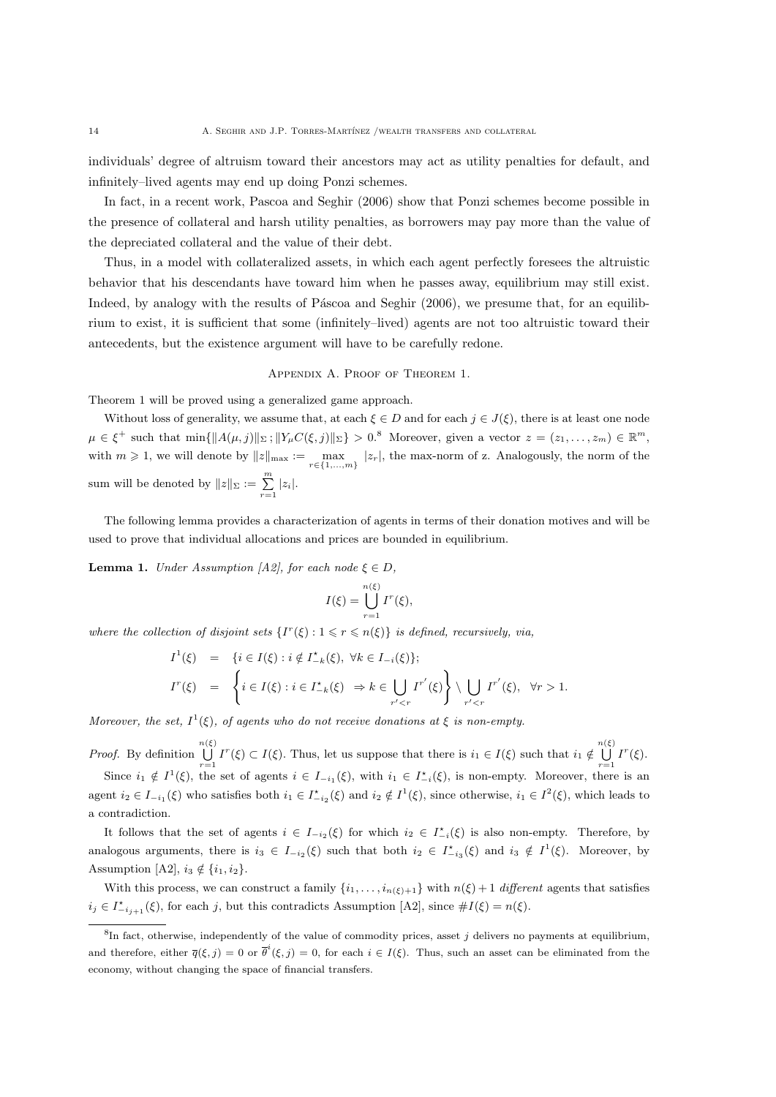individuals' degree of altruism toward their ancestors may act as utility penalties for default, and infinitely–lived agents may end up doing Ponzi schemes.

In fact, in a recent work, Pascoa and Seghir (2006) show that Ponzi schemes become possible in the presence of collateral and harsh utility penalties, as borrowers may pay more than the value of the depreciated collateral and the value of their debt.

Thus, in a model with collateralized assets, in which each agent perfectly foresees the altruistic behavior that his descendants have toward him when he passes away, equilibrium may still exist. Indeed, by analogy with the results of Páscoa and Seghir  $(2006)$ , we presume that, for an equilibrium to exist, it is sufficient that some (infinitely–lived) agents are not too altruistic toward their antecedents, but the existence argument will have to be carefully redone.

#### Appendix A. Proof of Theorem 1.

Theorem 1 will be proved using a generalized game approach.

Without loss of generality, we assume that, at each  $\xi \in D$  and for each  $j \in J(\xi)$ , there is at least one node  $\mu \in \xi^+$  such that  $\min\{\|A(\mu, j)\|_{\Sigma}; \|Y_{\mu}C(\xi, j)\|_{\Sigma}\} > 0.8$  Moreover, given a vector  $z = (z_1, \ldots, z_m) \in \mathbb{R}^m$ , with  $m \geq 1$ , we will denote by  $||z||_{\text{max}} := \max_{r \in \{1, ..., m\}} |z_r|$ , the max-norm of z. Analogously, the norm of the sum will be denoted by  $||z||_{\Sigma} := \sum_{r=1}^{m} |z_i|$ .

The following lemma provides a characterization of agents in terms of their donation motives and will be used to prove that individual allocations and prices are bounded in equilibrium.

**Lemma 1.** Under Assumption [A2], for each node  $\xi \in D$ ,

$$
I(\xi) = \bigcup_{r=1}^{n(\xi)} I^r(\xi),
$$

where the collection of disjoint sets  $\{I^r(\xi): 1 \leq r \leq n(\xi)\}\$ is defined, recursively, via,

$$
I^1(\xi) = \{i \in I(\xi) : i \notin I_{-k}^{\star}(\xi), \forall k \in I_{-i}(\xi)\};
$$
  

$$
I^r(\xi) = \left\{i \in I(\xi) : i \in I_{-k}^{\star}(\xi) \Rightarrow k \in \bigcup_{r' < r} I^{r'}(\xi)\right\} \setminus \bigcup_{r' < r} I^{r'}(\xi), \forall r > 1.
$$

Moreover, the set,  $I^1(\xi)$ , of agents who do not receive donations at  $\xi$  is non-empty.

*Proof.* By definition  $\bigcup^{n(\xi)}$  $\bigcup_{r=1}^{n(\xi)} I^r(\xi) \subset I(\xi)$ . Thus, let us suppose that there is  $i_1 \in I(\xi)$  such that  $i_1 \notin \bigcup_{r=1}^{n(\xi)} I^r(\xi)$  $\bigcup_{r=1}^{\infty} I^r(\xi).$ 

Since  $i_1 \notin I^1(\xi)$ , the set of agents  $i \in I_{-i_1}(\xi)$ , with  $i_1 \in I_{-i}^*(\xi)$ , is non-empty. Moreover, there is an agent  $i_2 \in I_{-i_1}(\xi)$  who satisfies both  $i_1 \in I_{-i_2}^*(\xi)$  and  $i_2 \notin I^1(\xi)$ , since otherwise,  $i_1 \in I^2(\xi)$ , which leads to a contradiction.

It follows that the set of agents  $i \in I_{-i_2}(\xi)$  for which  $i_2 \in I_{-i}^*(\xi)$  is also non-empty. Therefore, by analogous arguments, there is  $i_3 \in I_{-i_2}(\xi)$  such that both  $i_2 \in I_{-i_3}^*(\xi)$  and  $i_3 \notin I^1(\xi)$ . Moreover, by Assumption [A2],  $i_3 \notin \{i_1, i_2\}$ .

With this process, we can construct a family  $\{i_1, \ldots, i_{n(\xi)+1}\}$  with  $n(\xi)+1$  different agents that satisfies  $i_j \in I_{-i_{j+1}}^*(\xi)$ , for each j, but this contradicts Assumption [A2], since  $\#I(\xi) = n(\xi)$ .

 ${}^{8}$ In fact, otherwise, independently of the value of commodity prices, asset j delivers no payments at equilibrium, and therefore, either  $\overline{q}(\xi, j) = 0$  or  $\overline{\theta}^i(\xi, j) = 0$ , for each  $i \in I(\xi)$ . Thus, such an asset can be eliminated from the economy, without changing the space of financial transfers.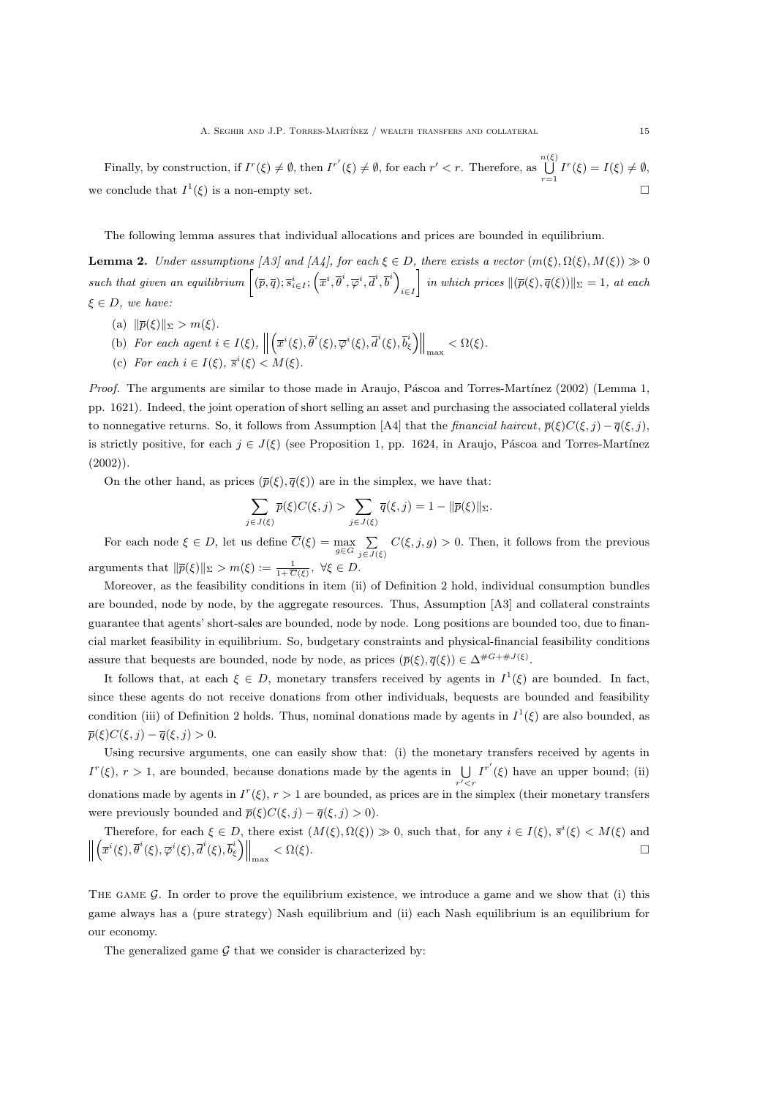Finally, by construction, if  $I^r(\xi) \neq \emptyset$ , then  $I^{r'}(\xi) \neq \emptyset$ , for each  $r' < r$ . Therefore, as  $\bigcup_{n \in \mathbb{N}} \mathbb{R}^n$  $\bigcup_{r=1}^{n} I^r(\xi) = I(\xi) \neq \emptyset,$ we conclude that  $I^1(\xi)$  is a non-empty set.

The following lemma assures that individual allocations and prices are bounded in equilibrium.

**Lemma 2.** Under assumptions [A3] and [A4], for each  $\xi \in D$ , there exists a vector  $(m(\xi), \Omega(\xi), M(\xi)) \gg 0$ such that given an equilibrium  $[(\overline{p}, \overline{q}); \overline{s}_{i \in I}^i; (\overline{x}^i, \overline{\theta}^i, \overline{\varphi}^i, \overline{d}^i, \overline{b}^i)]$ i∈I  $\left\{ \infty \in \mathbb{N} \text{ (} \bar{p}(\xi), \bar{q}(\xi)) \right| \leq 1, \text{ at each } \xi$  $\xi \in D$ , we have:

- (a)  $\|\overline{p}(\xi)\|_{\Sigma} > m(\xi).$
- (b) For each agent  $i \in I(\xi)$ ,  $\left( \overline{x}^i(\xi), \overline{\theta}^i(\xi), \overline{\varphi}^i(\xi), \overline{d}^i(\xi), \overline{b}_{\xi}^i \right) \Big\|_{\max} < \Omega(\xi).$
- (c) For each  $i \in I(\xi)$ ,  $\overline{s}^i(\xi) < M(\xi)$ .

Proof. The arguments are similar to those made in Araujo, Páscoa and Torres-Martínez (2002) (Lemma 1, pp. 1621). Indeed, the joint operation of short selling an asset and purchasing the associated collateral yields to nonnegative returns. So, it follows from Assumption [A4] that the *financial haircut*,  $\bar{p}(\xi)C(\xi, j) - \bar{q}(\xi, j)$ , is strictly positive, for each  $j \in J(\xi)$  (see Proposition 1, pp. 1624, in Araujo, Páscoa and Torres-Martínez  $(2002)$ ).

On the other hand, as prices  $(\bar{p}(\xi), \bar{q}(\xi))$  are in the simplex, we have that:

$$
\sum_{j\in J(\xi)} \overline{p}(\xi)C(\xi,j) > \sum_{j\in J(\xi)} \overline{q}(\xi,j) = 1 - \|\overline{p}(\xi)\|_{\Sigma}.
$$

For each node  $\xi \in D$ , let us define  $C(\xi) = \max_{g \in G} \sum_{j \in J(\xi)} C(\xi, j, g) > 0$ . Then, it follows from the previous arguments that  $\|\overline{p}(\xi)\|_{\Sigma} > m(\xi) := \frac{1}{1+\overline{C}(\xi)}, \ \forall \xi \in D.$ 

Moreover, as the feasibility conditions in item (ii) of Definition 2 hold, individual consumption bundles are bounded, node by node, by the aggregate resources. Thus, Assumption [A3] and collateral constraints guarantee that agents' short-sales are bounded, node by node. Long positions are bounded too, due to financial market feasibility in equilibrium. So, budgetary constraints and physical-financial feasibility conditions assure that bequests are bounded, node by node, as prices  $(\bar{p}(\xi), \bar{q}(\xi)) \in \Delta^{\#G + \#J(\xi)}$ .

It follows that, at each  $\xi \in D$ , monetary transfers received by agents in  $I^1(\xi)$  are bounded. In fact, since these agents do not receive donations from other individuals, bequests are bounded and feasibility condition (iii) of Definition 2 holds. Thus, nominal donations made by agents in  $I^1(\xi)$  are also bounded, as  $\overline{p}(\xi)C(\xi, j) - \overline{q}(\xi, j) > 0.$ 

Using recursive arguments, one can easily show that: (i) the monetary transfers received by agents in  $I^r(\xi)$ ,  $r > 1$ , are bounded, because donations made by the agents in  $\bigcup_{r' < r} I^{r'}(\xi)$  have an upper bound; (ii) donations made by agents in  $I^r(\xi)$ ,  $r > 1$  are bounded, as prices are in the simplex (their monetary transfers were previously bounded and  $\overline{p}(\xi)C(\xi, j) - \overline{q}(\xi, j) > 0$ .

Therefore, for each  $\xi \in D$ , there exist  $(M(\xi), \Omega(\xi)) \gg 0$ , such that, for any  $i \in I(\xi), \overline{s}^i(\xi) < M(\xi)$  and  $\frac{1}{2}$  $\left(\overline{x}^i(\xi), \overline{\theta}^i(\xi), \overline{\phi}^i(\xi), \overline{b}_\xi^i\right)\Big\|_{\max} < \Omega(\xi).$ 

THE GAME  $\mathcal G$ . In order to prove the equilibrium existence, we introduce a game and we show that (i) this game always has a (pure strategy) Nash equilibrium and (ii) each Nash equilibrium is an equilibrium for our economy.

The generalized game  $G$  that we consider is characterized by: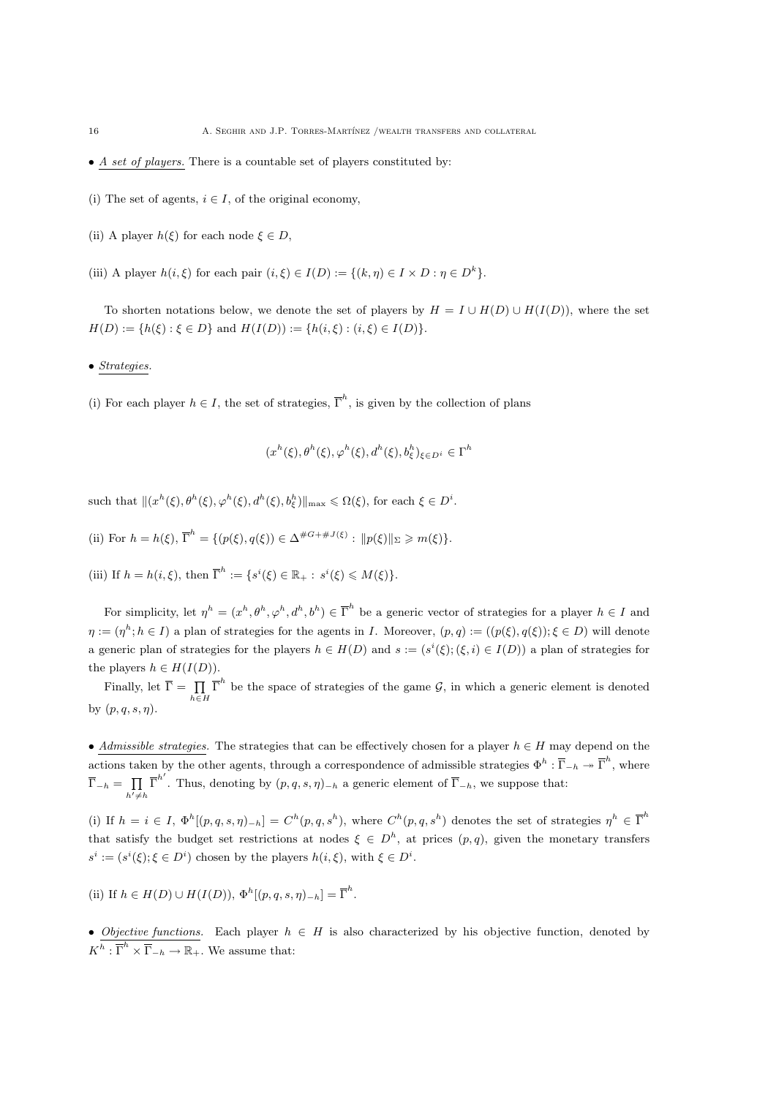- $\bullet$  A set of players. There is a countable set of players constituted by:
- (i) The set of agents,  $i \in I$ , of the original economy,
- (ii) A player  $h(\xi)$  for each node  $\xi \in D$ ,
- (iii) A player  $h(i, \xi)$  for each pair  $(i, \xi) \in I(D) := \{(k, \eta) \in I \times D : \eta \in D^k\}.$

To shorten notations below, we denote the set of players by  $H = I \cup H(D) \cup H(I(D))$ , where the set  $H(D) := \{h(\xi) : \xi \in D\}$  and  $H(I(D)) := \{h(i,\xi) : (i,\xi) \in I(D)\}.$ 

• Strategies.

(i) For each player  $h \in I$ , the set of strategies,  $\overline{\Gamma}^h$ , is given by the collection of plans

$$
(x^h(\xi), \theta^h(\xi), \varphi^h(\xi), d^h(\xi), b^h_{\xi})_{\xi \in D^i} \in \Gamma^h
$$

such that  $\|(x^h(\xi), \theta^h(\xi), \varphi^h(\xi), d^h(\xi), b_{\xi}^h)\|_{\max} \leq \Omega(\xi)$ , for each  $\xi \in D^i$ .

(ii) For  $h = h(\xi), \overline{\Gamma}^h = \{ (p(\xi), q(\xi)) \in \Delta^{\#G + \#J(\xi)} : ||p(\xi)||_{\Sigma} \geq m(\xi) \}.$ 

(iii) If  $h = h(i, \xi)$ , then  $\overline{\Gamma}^h := \{ s^i(\xi) \in \mathbb{R}_+ : s^i(\xi) \leq M(\xi) \}.$ 

For simplicity, let  $\eta^h = (x^h, \theta^h, \varphi^h, d^h, b^h) \in \overline{\Gamma}^h$  be a generic vector of strategies for a player  $h \in I$  and  $\eta := (\eta^h; h \in I)$  a plan of strategies for the agents in I. Moreover,  $(p, q) := ((p(\xi), q(\xi)); \xi \in D)$  will denote a generic plan of strategies for the players  $h \in H(D)$  and  $s := (s^i(\xi); (\xi, i) \in I(D))$  a plan of strategies for the players  $h \in H(I(D)).$ 

Finally, let  $\overline{\Gamma} = \prod_{h \in H} \overline{\Gamma}^h$  be the space of strategies of the game  $\mathcal{G}$ , in which a generic element is denoted by  $(p, q, s, \eta)$ .

• Admissible strategies. The strategies that can be effectively chosen for a player  $h \in H$  may depend on the actions taken by the other agents, through a correspondence of admissible strategies  $\Phi^h: \overline{\Gamma}_{-h} \to \overline{\Gamma}^h$ , where  $\overline{\Gamma}_{-h} = \prod_{h' \neq h} \overline{\Gamma}^{h'}$ . Thus, denoting by  $(p, q, s, \eta)_{-h}$  a generic element of  $\overline{\Gamma}_{-h}$ , we suppose that:

(i) If  $h = i \in I$ ,  $\Phi^h[(p,q,s,\eta)_{-h}] = C^h(p,q,s^h)$ , where  $C^h(p,q,s^h)$  denotes the set of strategies  $\eta^h \in \overline{\Gamma}^h$ that satisfy the budget set restrictions at nodes  $\xi \in D^h$ , at prices  $(p,q)$ , given the monetary transfers  $s^i := (s^i(\xi); \xi \in D^i)$  chosen by the players  $h(i, \xi)$ , with  $\xi \in D^i$ .

(ii) If  $h \in H(D) \cup H(I(D)), \Phi^h[(p,q,s,\eta)_{-h}] = \overline{\Gamma}^h$ .

• Objective functions. Each player  $h \in H$  is also characterized by his objective function, denoted by  $K^h: \overline{\Gamma}^h \times \overline{\Gamma}_{-h} \to \mathbb{R}_+$ . We assume that: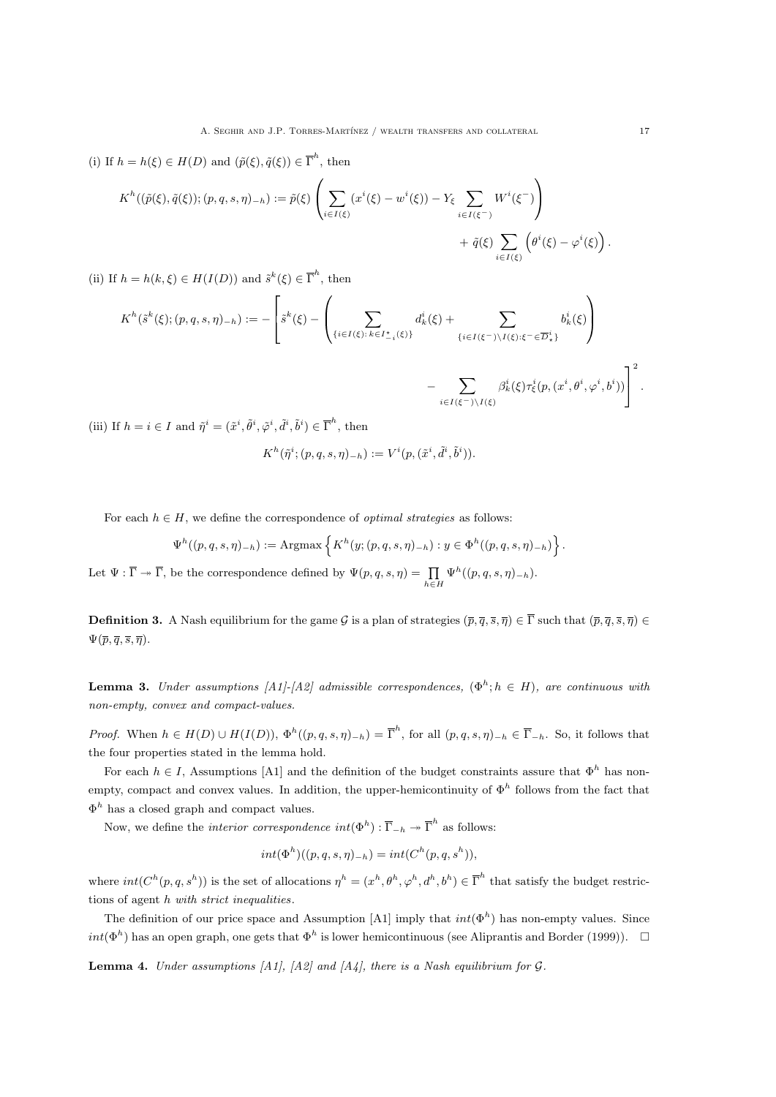(i) If 
$$
h = h(\xi) \in H(D)
$$
 and  $(\tilde{p}(\xi), \tilde{q}(\xi)) \in \overline{\Gamma}^h$ , then  
\n
$$
K^h((\tilde{p}(\xi), \tilde{q}(\xi)); (p, q, s, \eta)_{-h}) := \tilde{p}(\xi) \left( \sum_{i \in I(\xi)} (x^i(\xi) - w^i(\xi)) - Y_{\xi} \sum_{i \in I(\xi^{-})} W^i(\xi^{-}) \right) + \tilde{q}(\xi) \sum_{i \in I(\xi)} \left( \theta^i(\xi) - \varphi^i(\xi) \right).
$$

(ii) If  $h = h(k, \xi) \in H(I(D))$  and  $\tilde{s}^k(\xi) \in \overline{\Gamma}^h$ , then

$$
K^{h}(\tilde{s}^{k}(\xi);(p,q,s,\eta)_{-h}) := -\left[\tilde{s}^{k}(\xi) - \left(\sum_{\{i \in I(\xi): k \in I_{-i}^{\star}(\xi)\}} d_{k}^{i}(\xi) + \sum_{\{i \in I(\xi^{-}) \setminus I(\xi): \xi^{-} \in \overline{D}_{\star}^{i}\}} b_{k}^{i}(\xi)\right) - \sum_{i \in I(\xi^{-}) \setminus I(\xi)} \beta_{k}^{i}(\xi) \tau_{\xi}^{i}(p,(x^{i},\theta^{i},\varphi^{i},b^{i}))\right]^{2}.
$$

(iii) If  $h = i \in I$  and  $\tilde{\eta}^i = (\tilde{x}^i, \tilde{\theta}^i, \tilde{\varphi}^i, \tilde{d}^i, \tilde{b}^i) \in \overline{\Gamma}^h$ , then

$$
K^h(\tilde{\eta}^i; (p,q,s,\eta)_{-h}) := V^i(p, (\tilde{x}^i, \tilde{d}^i, \tilde{b}^i)).
$$

For each  $h \in H$ , we define the correspondence of *optimal strategies* as follows:

$$
\Psi^{h}((p,q,s,\eta)_{-h}) := \text{Argmax}\left\{K^{h}(y;(p,q,s,\eta)_{-h}) : y \in \Phi^{h}((p,q,s,\eta)_{-h})\right\}
$$

Let  $\Psi : \overline{\Gamma} \to \overline{\Gamma}$ , be the correspondence defined by  $\Psi(p,q,s,\eta) = \prod_{h \in H} \Psi^h((p,q,s,\eta)_{-h}).$ 

**Definition 3.** A Nash equilibrium for the game G is a plan of strategies  $(\bar{p}, \bar{q}, \bar{s}, \bar{\eta}) \in \bar{\Gamma}$  such that  $(\bar{p}, \bar{q}, \bar{s}, \bar{\eta}) \in \bar{\Gamma}$  $\Psi(\overline{p}, \overline{q}, \overline{s}, \overline{\eta}).$ 

**Lemma 3.** Under assumptions [A1]-[A2] admissible correspondences,  $(\Phi^h; h \in H)$ , are continuous with non-empty, convex and compact-values.

Proof. When  $h \in H(D) \cup H(I(D))$ ,  $\Phi^h((p,q,s,\eta)_{-h}) = \overline{\Gamma}^h$ , for all  $(p,q,s,\eta)_{-h} \in \overline{\Gamma}_{-h}$ . So, it follows that the four properties stated in the lemma hold.

For each  $h \in I$ , Assumptions [A1] and the definition of the budget constraints assure that  $\Phi^h$  has nonempty, compact and convex values. In addition, the upper-hemicontinuity of  $\Phi^h$  follows from the fact that  $\Phi^h$  has a closed graph and compact values.

Now, we define the *interior correspondence*  $int(\Phi^h) : \overline{\Gamma}_{-h} \to \overline{\Gamma}^h$  as follows:

$$
int(\Phi^h)((p,q,s,\eta)_{-h}) = int(C^h(p,q,s^h)),
$$

where  $int(C^{h}(p,q,s^{h}))$  is the set of allocations  $\eta^{h} = (x^{h}, \theta^{h}, \varphi^{h}, d^{h}, b^{h}) \in \overline{\Gamma}^{h}$  that satisfy the budget restrictions of agent h with strict inequalities.

The definition of our price space and Assumption [A1] imply that  $int(\Phi^h)$  has non-empty values. Since  $int(\Phi^h)$  has an open graph, one gets that  $\Phi^h$  is lower hemicontinuous (see Aliprantis and Border (1999)).  $\Box$ 

**Lemma 4.** Under assumptions [A1], [A2] and [A4], there is a Nash equilibrium for  $G$ .

.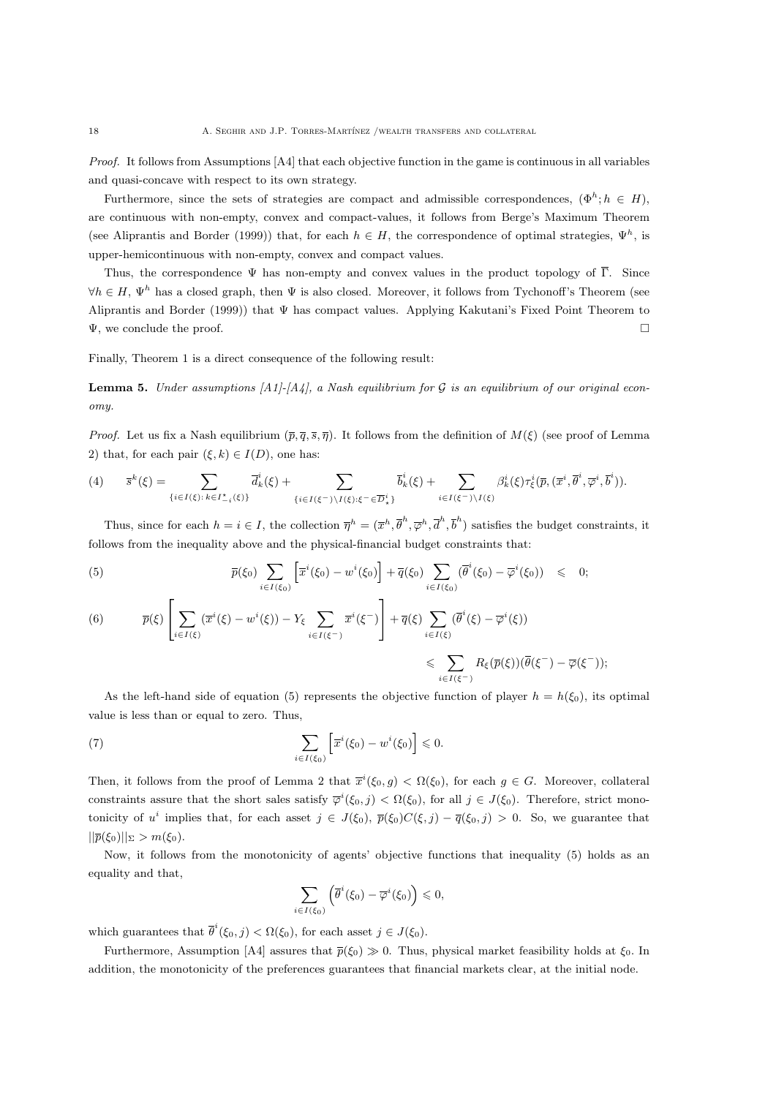Proof. It follows from Assumptions [A4] that each objective function in the game is continuous in all variables and quasi-concave with respect to its own strategy.

Furthermore, since the sets of strategies are compact and admissible correspondences,  $(\Phi^h; h \in H)$ , are continuous with non-empty, convex and compact-values, it follows from Berge's Maximum Theorem (see Aliprantis and Border (1999)) that, for each  $h \in H$ , the correspondence of optimal strategies,  $\Psi^h$ , is upper-hemicontinuous with non-empty, convex and compact values.

Thus, the correspondence  $\Psi$  has non-empty and convex values in the product topology of  $\overline{\Gamma}$ . Since  $\forall h \in H$ ,  $\Psi^h$  has a closed graph, then  $\Psi$  is also closed. Moreover, it follows from Tychonoff's Theorem (see Aliprantis and Border (1999)) that Ψ has compact values. Applying Kakutani's Fixed Point Theorem to  $\Psi$ , we conclude the proof.

Finally, Theorem 1 is a direct consequence of the following result:

**Lemma 5.** Under assumptions  $[A1]-[A4]$ , a Nash equilibrium for G is an equilibrium of our original economy.

*Proof.* Let us fix a Nash equilibrium  $(\bar{p}, \bar{q}, \bar{s}, \bar{\eta})$ . It follows from the definition of  $M(\xi)$  (see proof of Lemma 2) that, for each pair  $(\xi, k) \in I(D)$ , one has:

$$
(4) \qquad \overline{s}^{k}(\xi)=\sum_{\{i\in I(\xi): k\in I_{-i}^{\star}(\xi)\}} \overline{d}_{k}^{i}(\xi)+\sum_{\{i\in I(\xi^{-})\setminus I(\xi): \xi^{-}\in \overline{D}_{\star}^{i}\}} \overline{b}_{k}^{i}(\xi)+\sum_{i\in I(\xi^{-})\setminus I(\xi)} \beta_{k}^{i}(\xi)\tau_{\xi}^{i}(\overline{p},(\overline{x}^{i},\overline{\theta}^{i},\overline{\varphi}^{i},\overline{b}^{i})).
$$

Thus, since for each  $h = i \in I$ , the collection  $\overline{\eta}^h = (\overline{x}^h, \overline{\theta}^h, \overline{\phi}^h, \overline{d}^h, \overline{b}^h)$  satisfies the budget constraints, it follows from the inequality above and the physical-financial budget constraints that:

(5) 
$$
\overline{p}(\xi_0) \sum_{i \in I(\xi_0)} \left[ \overline{x}^i(\xi_0) - w^i(\xi_0) \right] + \overline{q}(\xi_0) \sum_{i \in I(\xi_0)} (\overline{\theta}^i(\xi_0) - \overline{\varphi}^i(\xi_0)) \leq 0;
$$

$$
(6) \qquad \overline{p}(\xi) \left[ \sum_{i \in I(\xi)} (\overline{x}^i(\xi) - w^i(\xi)) - Y_{\xi} \sum_{i \in I(\xi^{-})} \overline{x}^i(\xi^{-}) \right] + \overline{q}(\xi) \sum_{i \in I(\xi)} (\overline{\theta}^i(\xi) - \overline{\varphi}^i(\xi))
$$
\n
$$
\leqslant \sum_{i \in I(\xi^{-})} R_{\xi}(\overline{p}(\xi)) (\overline{\theta}(\xi^{-}) - \overline{\varphi}(\xi^{-}));
$$

As the left-hand side of equation (5) represents the objective function of player  $h = h(\xi_0)$ , its optimal value is less than or equal to zero. Thus,

(7) 
$$
\sum_{i\in I(\xi_0)} \left[ \overline{x}^i(\xi_0) - w^i(\xi_0) \right] \leq 0.
$$

Then, it follows from the proof of Lemma 2 that  $\overline{x}^i(\xi_0, g) < \Omega(\xi_0)$ , for each  $g \in G$ . Moreover, collateral constraints assure that the short sales satisfy  $\overline{\varphi}^i(\xi_0, j) < \Omega(\xi_0)$ , for all  $j \in J(\xi_0)$ . Therefore, strict monotonicity of u<sup>i</sup> implies that, for each asset  $j \in J(\xi_0)$ ,  $\bar{p}(\xi_0)C(\xi, j) - \bar{q}(\xi_0, j) > 0$ . So, we guarantee that  $||\overline{p}(\xi_0)||_{\Sigma} > m(\xi_0).$ 

Now, it follows from the monotonicity of agents' objective functions that inequality (5) holds as an equality and that,

$$
\sum_{i\in I(\xi_0)} \left( \overline{\theta}^i(\xi_0) - \overline{\varphi}^i(\xi_0) \right) \leq 0,
$$

which guarantees that  $\overline{\theta}^i(\xi_0, j) < \Omega(\xi_0)$ , for each asset  $j \in J(\xi_0)$ .

Furthermore, Assumption [A4] assures that  $\bar{p}(\xi_0) \gg 0$ . Thus, physical market feasibility holds at  $\xi_0$ . In addition, the monotonicity of the preferences guarantees that financial markets clear, at the initial node.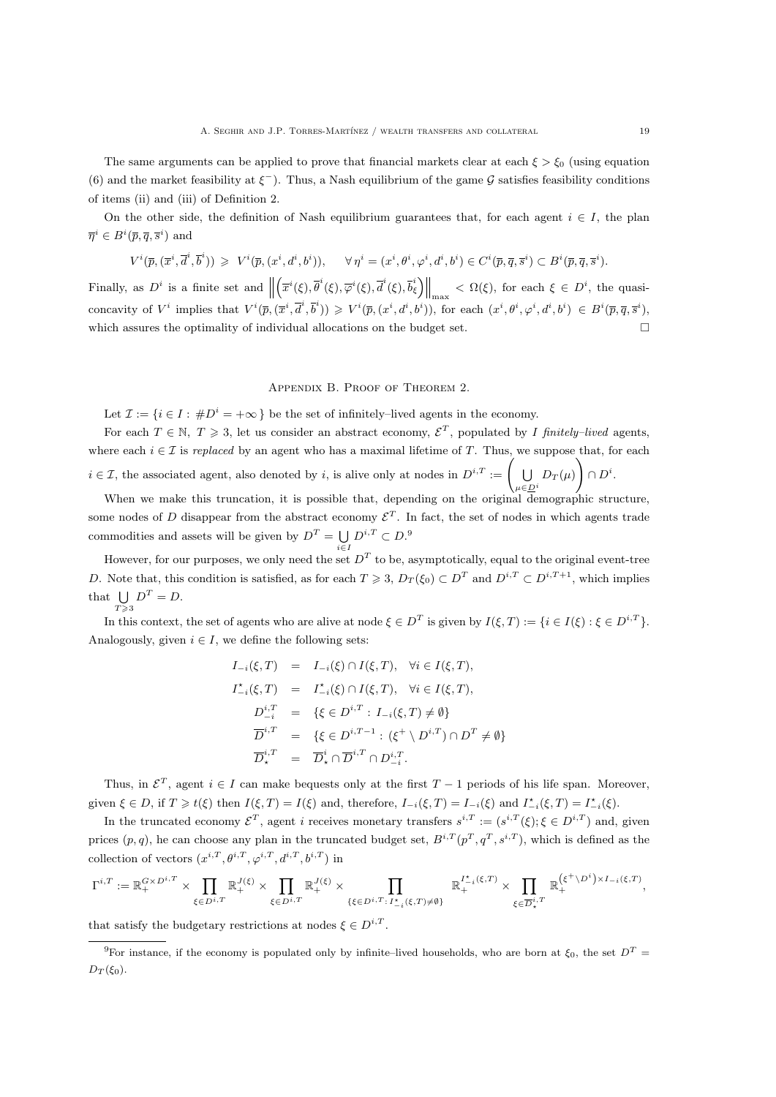The same arguments can be applied to prove that financial markets clear at each  $\xi > \xi_0$  (using equation (6) and the market feasibility at  $\xi^-$ ). Thus, a Nash equilibrium of the game G satisfies feasibility conditions of items (ii) and (iii) of Definition 2.

On the other side, the definition of Nash equilibrium guarantees that, for each agent  $i \in I$ , the plan  $\overline{\eta}^i \in B^i(\overline{p}, \overline{q}, \overline{s}^i)$  and

$$
V^i(\overline{p},(\overline{x}^i,\overline{d}^i,\overline{b}^i))\,\geqslant\,V^i(\overline{p},(x^i,d^i,b^i)),\quad \ \forall\,\eta^i=(x^i,\theta^i,\varphi^i,d^i,b^i)\in C^i(\overline{p},\overline{q},\overline{s}^i)\subset B^i(\overline{p},\overline{q},\overline{s}^i).
$$

Finally, as  $D^i$  is a finite set and  $\parallel$  $\left(\overline{x}^i(\xi), \overline{\theta}^i(\xi), \overline{\phi}^i(\xi), \overline{b}_\xi^i\right)\Big\|_{\max} < \Omega(\xi)$ , for each  $\xi \in D^i$ , the quasiconcavity of  $V^i$  implies that  $V^i(\overline{p}, (\overline{x}^i, \overline{d}^i, \overline{b}^i)) \geq V^i(\overline{p}, (x^i, d^i, b^i))$ , for each  $(x^i, \theta^i, \varphi^i, d^i, b^i) \in B^i(\overline{p}, \overline{q}, \overline{s}^i)$ , which assures the optimality of individual allocations on the budget set.

Appendix B. Proof of Theorem 2.

Let  $\mathcal{I} := \{i \in I : \#D^i = +\infty\}$  be the set of infinitely-lived agents in the economy.

For each  $T \in \mathbb{N}, T \geq 3$ , let us consider an abstract economy,  $\mathcal{E}^T$ , populated by I finitely-lived agents, where each  $i \in \mathcal{I}$  is replaced by an agent who has a maximal lifetime of T. Thus, we suppose that, for each  $i \in \mathcal{I}$ , the associated agent, also denoted by i, is alive only at nodes in  $D^{i,T} := \left( \begin{array}{c} \bigcup_{i=1}^{n} \mathcal{I}_{i}^{i} \end{array} \right)$  $\bigcup_{\mu \in \underline{D}^i} D_T(\mu)$ ✦  $\cap D^i.$ 

When we make this truncation, it is possible that, depending on the original demographic structure, some nodes of D disappear from the abstract economy  $\mathcal{E}^T$ . In fact, the set of nodes in which agents trade commodities and assets will be given by  $D^T = \bigcup D^{i,T} \subset D$ .<sup>9</sup>

i∈I

However, for our purposes, we only need the set  $D<sup>T</sup>$  to be, asymptotically, equal to the original event-tree D. Note that, this condition is satisfied, as for each  $T \geq 3$ ,  $D_T(\xi_0) \subset D^T$  and  $D^{i,T} \subset D^{i,T+1}$ , which implies that  $\bigcup D^T = D$ .  $T\!\geqslant\!3$ 

In this context, the set of agents who are alive at node  $\xi \in D^T$  is given by  $I(\xi, T) := \{i \in I(\xi) : \xi \in D^{i,T}\}.$ Analogously, given  $i \in I$ , we define the following sets:

$$
I_{-i}(\xi, T) = I_{-i}(\xi) \cap I(\xi, T), \quad \forall i \in I(\xi, T),
$$
  
\n
$$
I_{-i}^{\star}(\xi, T) = I_{-i}^{\star}(\xi) \cap I(\xi, T), \quad \forall i \in I(\xi, T),
$$
  
\n
$$
D_{-i}^{i,T} = \{\xi \in D^{i,T} : I_{-i}(\xi, T) \neq \emptyset\}
$$
  
\n
$$
\overline{D}_{\star}^{i,T} = \{\xi \in D^{i,T-1} : (\xi^{+} \setminus D^{i,T}) \cap D^{T} \neq \emptyset\}
$$
  
\n
$$
\overline{D}_{\star}^{i,T} = \overline{D}_{\star}^{i} \cap \overline{D}^{i,T} \cap D_{-i}^{i,T}.
$$

Thus, in  $\mathcal{E}^T$ , agent  $i \in I$  can make bequests only at the first  $T-1$  periods of his life span. Moreover, given  $\xi \in D$ , if  $T \geq t(\xi)$  then  $I(\xi, T) = I(\xi)$  and, therefore,  $I_{-i}(\xi, T) = I_{-i}(\xi)$  and  $I_{-i}^{\star}(\xi, T) = I_{-i}^{\star}(\xi)$ .

In the truncated economy  $\mathcal{E}^T$ , agent i receives monetary transfers  $s^{i,T} := (s^{i,T}(\xi); \xi \in D^{i,T})$  and, given prices  $(p, q)$ , he can choose any plan in the truncated budget set,  $B^{i,T}(p^T, q^T, s^{i,T})$ , which is defined as the collection of vectors  $(x^{i,T}, \theta^{i,T}, \varphi^{i,T}, d^{i,T}, b^{i,T})$  in

$$
\Gamma^{i,T}:=\mathbb{R}_+^{G\times D^{i,T}}\times\prod_{\xi\in D^{i,T}}\mathbb{R}_+^{J(\xi)}\times\prod_{\xi\in D^{i,T}}\mathbb{R}_+^{J(\xi)}\times\prod_{\{\xi\in D^{i,T}:\,I^{\star}_{-i}(\xi,T)\neq\emptyset\}}\mathbb{R}_+^{I^{\star}_{-i}(\xi,T)}\times\prod_{\xi\in \overline{D}^{i,T}_\star}\mathbb{R}_+^{(\xi^+\backslash D^i)\times I_{-i}(\xi,T)},
$$

that satisfy the budgetary restrictions at nodes  $\xi \in D^{i,T}$ .

<sup>&</sup>lt;sup>9</sup>For instance, if the economy is populated only by infinite–lived households, who are born at  $\xi_0$ , the set  $D^T$  $D_T(\xi_0)$ .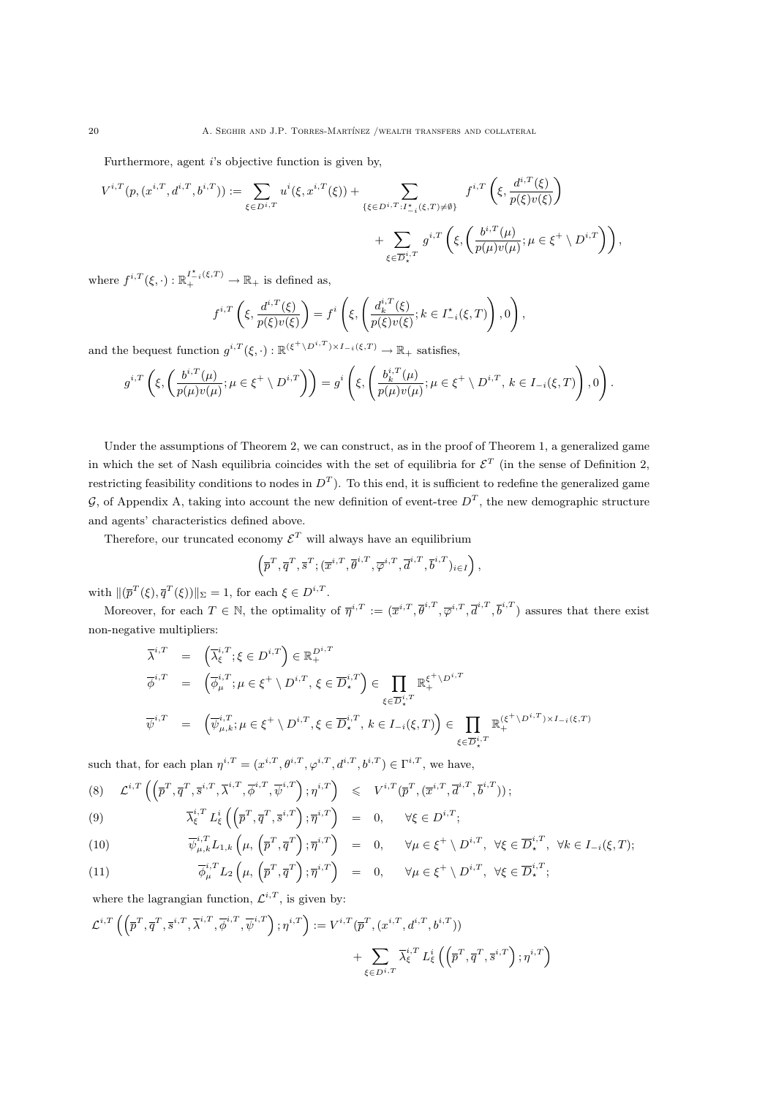Furthermore, agent *i*'s objective function is given by,

$$
V^{i,T}(p,(x^{i,T},d^{i,T},b^{i,T})) := \sum_{\xi \in D^{i,T}} u^i(\xi,x^{i,T}(\xi)) + \sum_{\{\xi \in D^{i,T}: I^{\star}_{-i}(\xi,T) \neq \emptyset\}} f^{i,T}\left(\xi,\frac{d^{i,T}(\xi)}{p(\xi)v(\xi)}\right) + \sum_{\xi \in \overline{D}^{i,T}_{\star}} g^{i,T}\left(\xi,\left(\frac{b^{i,T}(\mu)}{p(\mu)v(\mu)};\mu \in \xi^+ \setminus D^{i,T}\right)\right),
$$

where  $f^{i,T}(\xi,\cdot): \mathbb{R}^{I^*_{-i}(\xi,T)}_+ \to \mathbb{R}_+$  is defined as,

$$
f^{i,T}\left(\xi,\frac{d^{i,T}(\xi)}{p(\xi)v(\xi)}\right) = f^i\left(\xi,\left(\frac{d_k^{i,T}(\xi)}{p(\xi)v(\xi)};k\in I_{-i}^\star(\xi,T)\right),0\right),\,
$$

and the bequest function  $g^{i,T}(\xi,\cdot): \mathbb{R}^{(\xi^+\setminus D^{i,T})\times I_{-i}(\xi,T)} \to \mathbb{R}_+$  satisfies,

$$
g^{i,T}\left(\xi,\left(\frac{b^{i,T}(\mu)}{p(\mu)v(\mu)};\mu\in\xi^+\setminus D^{i,T}\right)\right)=g^i\left(\xi,\left(\frac{b_k^{i,T}(\mu)}{p(\mu)v(\mu)};\mu\in\xi^+\setminus D^{i,T},\,k\in I_{-i}(\xi,T)\right),0\right).
$$

Under the assumptions of Theorem 2, we can construct, as in the proof of Theorem 1, a generalized game in which the set of Nash equilibria coincides with the set of equilibria for  $\mathcal{E}^T$  (in the sense of Definition 2, restricting feasibility conditions to nodes in  $D^T$ ). To this end, it is sufficient to redefine the generalized game G, of Appendix A, taking into account the new definition of event-tree  $D<sup>T</sup>$ , the new demographic structure and agents' characteristics defined above.

Therefore, our truncated economy  $\mathcal{E}^T$  will always have an equilibrium

$$
\left(\overline{p}^T,\overline{q}^T,\overline{s}^T;(\overline{x}^{i,T},\overline{\theta}^{i,T},\overline{\varphi}^{i,T},\overline{d}^{i,T},\overline{b}^{i,T})_{i\in I}\right),\right
$$

with  $\|(\overline{p}^T(\xi), \overline{q}^T(\xi))\|_{\Sigma} = 1$ , for each  $\xi \in D^{i,T}$ .

Moreover, for each  $T \in \mathbb{N}$ , the optimality of  $\overline{\eta}^{i,T} := (\overline{x}^{i,T}, \overline{\theta}^{i,T}, \overline{\varphi}^{i,T}, \overline{\theta}^{i,T}, \overline{\theta}^{i,T})$  assures that there exist non-negative multipliers:

$$
\overline{\lambda}^{i,T} = \left(\overline{\lambda}_{\xi}^{i,T}; \xi \in D^{i,T}\right) \in \mathbb{R}_{+}^{D^{i,T}}
$$
\n
$$
\overline{\phi}^{i,T} = \left(\overline{\phi}_{\mu}^{i,T}; \mu \in \xi^{+} \setminus D^{i,T}, \xi \in \overline{D}_{\star}^{i,T}\right) \in \prod_{\xi \in \overline{D}_{\star}^{i,T}} \mathbb{R}_{+}^{\xi^{+} \setminus D^{i,T}}
$$
\n
$$
\overline{\psi}^{i,T} = \left(\overline{\psi}_{\mu,k}^{i,T}; \mu \in \xi^{+} \setminus D^{i,T}, \xi \in \overline{D}_{\star}^{i,T}, k \in I_{-i}(\xi,T)\right) \in \prod_{\xi \in \overline{D}_{\star}^{i,T}} \mathbb{R}_{+}^{(\xi^{+} \setminus D^{i,T}) \times I_{-i}(\xi,T)}
$$

such that, for each plan  $\eta^{i,T} = (x^{i,T}, \theta^{i,T}, \varphi^{i,T}, d^{i,T}, b^{i,T}) \in \Gamma^{i,T}$ , we have,

$$
(8) \quad \mathcal{L}^{i,T}\left(\left(\overline{p}^T,\overline{q}^T,\overline{s}^{i,T},\overline{\lambda}^{i,T},\overline{\phi}^{i,T},\overline{\psi}^{i,T}\right); \eta^{i,T}\right) \leqslant V^{i,T}(\overline{p}^T,(\overline{x}^{i,T},\overline{d}^{i,T},\overline{b}^{i,T}))\,;
$$

(9) 
$$
\overline{\lambda}_{\xi}^{i,T} L_{\xi}^{i} \left( \left( \overline{p}^T, \overline{q}^T, \overline{s}^{i,T} \right); \overline{\eta}^{i,T} \right) = 0, \quad \forall \xi \in D^{i,T};
$$

(10) 
$$
\overline{\psi}_{\mu,k}^{i,T} L_{1,k} \left( \mu, \left( \overline{p}^T, \overline{q}^T \right); \overline{\eta}^{i,T} \right) = 0, \quad \forall \mu \in \xi^+ \setminus D^{i,T}, \ \forall \xi \in \overline{D}_{\star}^{i,T}, \ \forall k \in I_{-i}(\xi,T);
$$

(11) 
$$
\overline{\phi}_{\mu}^{i,T} L_2\left(\mu, \left(\overline{p}^T, \overline{q}^T\right); \overline{\eta}^{i,T}\right) = 0, \quad \forall \mu \in \xi^+ \setminus D^{i,T}, \ \forall \xi \in \overline{D}_{\star}^{i,T};
$$

where the lagrangian function,  $\mathcal{L}^{i,T}$ , is given by:

$$
\begin{aligned} \mathcal{L}^{i,T}\left( \left( \overline{p}^T, \overline{q}^T, \overline{s}^{i,T}, \overline{\lambda}^{i,T}, \overline{\phi}^{i,T}, \overline{\psi}^{i,T} \right); \eta^{i,T} \right):= V^{i,T}(\overline{p}^T, (x^{i,T}, d^{i,T}, b^{i,T})) \\ &+ \sum_{\xi \in D^{i,T}} \overline{\lambda}^{i,T}_\xi \left( \left( \overline{p}^T, \overline{q}^T, \overline{s}^{i,T} \right); \eta^{i,T} \right) \end{aligned}
$$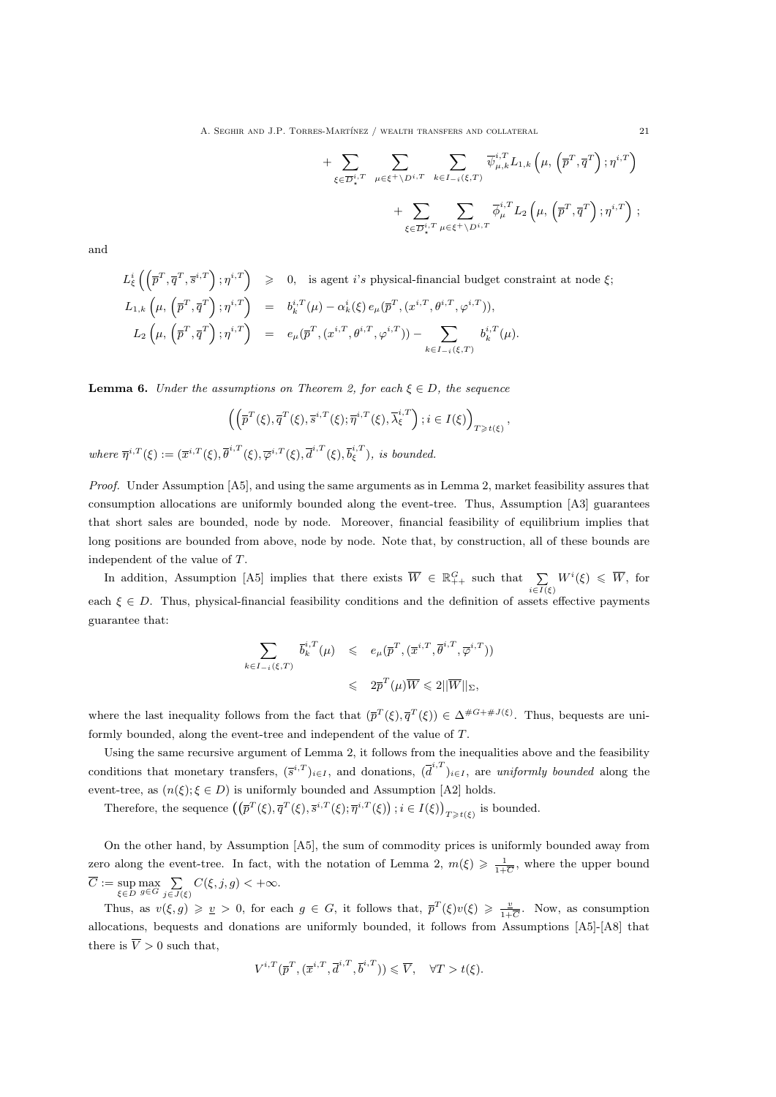A. SEGHIR AND J.P. TORRES-MARTÍNEZ / WEALTH TRANSFERS AND COLLATERAL  $21$ 

+ 
$$
\sum_{\xi \in \overline{D}_{\star}^{i,T}} \sum_{\mu \in \xi^+ \backslash D^{i,T}} \sum_{k \in I_{-i}(\xi,T)} \overline{\psi}_{\mu,k}^{i,T} L_{1,k} \left(\mu, \left(\overline{p}^T, \overline{q}^T\right); \eta^{i,T}\right) + \sum_{\xi \in \overline{D}_{\star}^{i,T}} \sum_{\mu \in \xi^+ \backslash D^{i,T}} \overline{\phi}_{\mu}^{i,T} L_2 \left(\mu, \left(\overline{p}^T, \overline{q}^T\right); \eta^{i,T}\right);
$$

and

$$
L^i_{\xi}\left(\left(\overline{p}^T,\overline{q}^T,\overline{s}^{i,T}\right);\eta^{i,T}\right) \geq 0, \text{ is agent } i's \text{ physical-financial budget constraint at node } \xi;
$$
  
\n
$$
L_{1,k}\left(\mu,\left(\overline{p}^T,\overline{q}^T\right);\eta^{i,T}\right) = b_k^{i,T}(\mu) - \alpha_k^i(\xi) e_\mu(\overline{p}^T,(x^{i,T},\theta^{i,T},\varphi^{i,T})),
$$
  
\n
$$
L_2\left(\mu,\left(\overline{p}^T,\overline{q}^T\right);\eta^{i,T}\right) = e_\mu(\overline{p}^T,(x^{i,T},\theta^{i,T},\varphi^{i,T})) - \sum_{k \in I_{-i}(\xi,T)} b_k^{i,T}(\mu).
$$

**Lemma 6.** Under the assumptions on Theorem 2, for each  $\xi \in D$ , the sequence

$$
\left( \left( \overline{p}^T(\xi), \overline{q}^T(\xi), \overline{s}^{i,T}(\xi); \overline{\eta}^{i,T}(\xi), \overline{\lambda}_{\xi}^{i,T} \right) ; i \in I(\xi) \right)_{T \geq t(\xi)},
$$

where  $\overline{\eta}^{i,T}(\xi) := (\overline{x}^{i,T}(\xi), \overline{\theta}^{i,T}(\xi), \overline{\varphi}^{i,T}(\xi), \overline{d}^{i,T}(\xi), \overline{b}_{\xi}^{i,T}),$  is bounded.

Proof. Under Assumption [A5], and using the same arguments as in Lemma 2, market feasibility assures that consumption allocations are uniformly bounded along the event-tree. Thus, Assumption [A3] guarantees that short sales are bounded, node by node. Moreover, financial feasibility of equilibrium implies that long positions are bounded from above, node by node. Note that, by construction, all of these bounds are independent of the value of T.

In addition, Assumption [A5] implies that there exists  $\overline{W} \in \mathbb{R}^G_{++}$  such that  $\sum_{i \in I(\xi)} W^i(\xi) \leq \overline{W}$ , for each  $\xi \in D$ . Thus, physical-financial feasibility conditions and the definition of assets effective payments guarantee that:

$$
\sum_{k \in I_{-i}(\xi,T)} \overline{b}_k^{i,T}(\mu) \leqslant e_\mu(\overline{p}^T, (\overline{x}^{i,T}, \overline{\theta}^{i,T}, \overline{\varphi}^{i,T}))
$$
  

$$
\leqslant 2\overline{p}^T(\mu)\overline{W} \leqslant 2||\overline{W}||_{\Sigma},
$$

where the last inequality follows from the fact that  $(\bar{p}^T(\xi), \bar{q}^T(\xi)) \in \Delta^{\#G + \#J(\xi)}$ . Thus, bequests are uniformly bounded, along the event-tree and independent of the value of T.

Using the same recursive argument of Lemma 2, it follows from the inequalities above and the feasibility conditions that monetary transfers,  $(\bar{s}^{i,T})_{i\in I}$ , and donations,  $(\bar{d}^{i,T})_{i\in I}$ , are uniformly bounded along the event-tree, as  $(n(\xi); \xi \in D)$  is uniformly bounded and Assumption [A2] holds.

Therefore, the sequence  $(\overline{p}^T(\xi), \overline{q}^T(\xi), \overline{s}^{i,T}(\xi); \overline{\eta}^{i,T}(\xi))$ ;  $i \in I(\xi)$ )<sub> $T \geq t(\xi)$ </sub> is bounded.

On the other hand, by Assumption [A5], the sum of commodity prices is uniformly bounded away from zero along the event-tree. In fact, with the notation of Lemma 2,  $m(\xi) \geq \frac{1}{1+\overline{C}}$ , where the upper bound  $C := \sup_{\xi \in D} \max_{g \in G} \sum_{j \in J(\xi)} C(\xi, j, g) < +\infty.$ 

Thus, as  $v(\xi, g) \geq v \geq 0$ , for each  $g \in G$ , it follows that,  $\overline{p}^T(\xi)v(\xi) \geq \frac{v}{1+\xi}$  $\frac{v}{1+\overline{C}}$ . Now, as consumption allocations, bequests and donations are uniformly bounded, it follows from Assumptions [A5]-[A8] that there is  $\overline{V} > 0$  such that,

$$
V^{i,T}(\overline{p}^T, (\overline{x}^{i,T}, \overline{d}^{i,T}, \overline{b}^{i,T})) \leqslant \overline{V}, \quad \forall T > t(\xi).
$$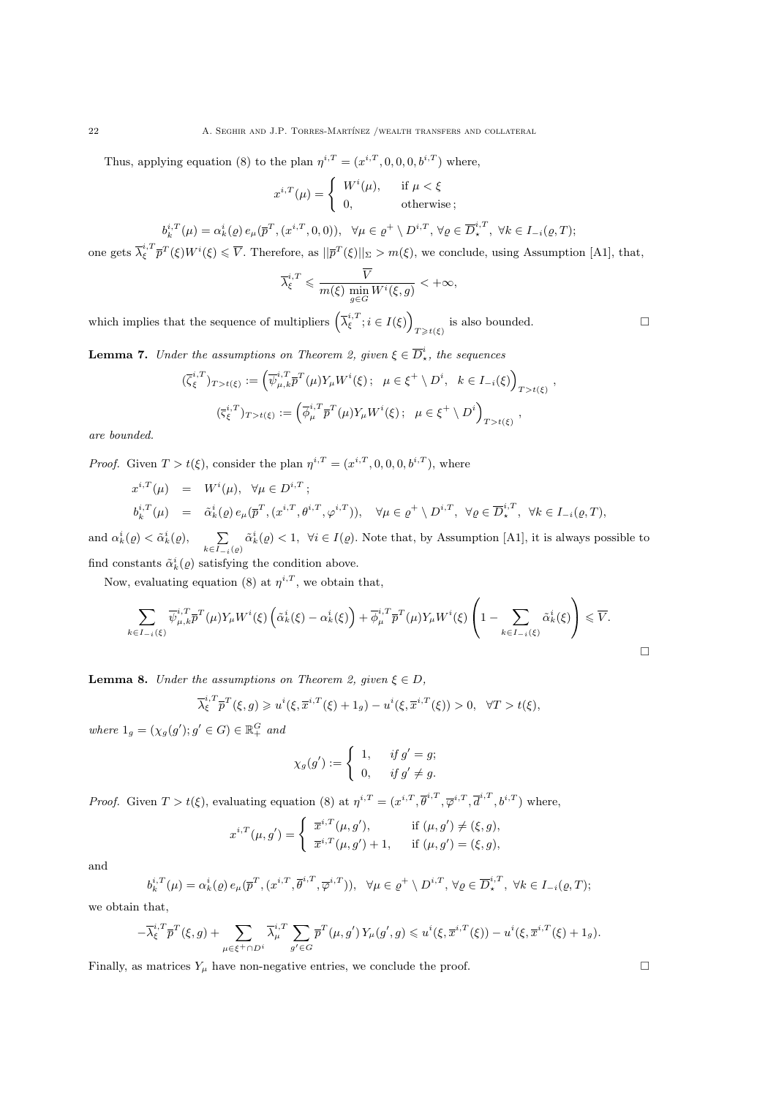22 A. SEGHIR AND J.P. TORRES-MARTÍNEZ /WEALTH TRANSFERS AND COLLATERAL

Thus, applying equation (8) to the plan  $\eta^{i,T} = (x^{i,T}, 0, 0, 0, b^{i,T})$  where,

$$
x^{i,T}(\mu) = \begin{cases} W^i(\mu), & \text{if } \mu < \xi \\ 0, & \text{otherwise} \end{cases};
$$

$$
b_k^{i,T}(\mu) = \alpha_k^i(\varrho) e_\mu(\overline{p}^T, (x^{i,T}, 0, 0)), \ \ \forall \mu \in \varrho^+ \setminus D^{i,T}, \ \forall \varrho \in \overline{D}_{\star}^{i,T}, \ \forall k \in I_{-i}(\varrho, T);
$$

one gets  $\overline{\lambda}_{\xi}^{i,T} \overline{p}^T(\xi) W^i(\xi) \leq \overline{V}$ . Therefore, as  $||\overline{p}^T(\xi)||_{\Sigma} > m(\xi)$ , we conclude, using Assumption [A1], that,

$$
\overline{\lambda}_{\xi}^{i,T} \leqslant \frac{\overline{V}}{m(\xi) \min_{g \in G} W^i(\xi, g)} < +\infty,
$$

which implies that the sequence of multipliers  $\left(\overline{\lambda}_{\xi}^{i,T}; i \in I(\xi)\right)$  $\Box$  is also bounded.

**Lemma 7.** Under the assumptions on Theorem 2, given  $\xi \in \overline{D}_{\star}^{i}$ , the sequences

$$
(\overline{\zeta}_{\xi}^{i,T})_{T>t(\xi)} := \left(\overline{\psi}_{\mu,k}^{i,T} \overline{p}^T(\mu) Y_{\mu} W^i(\xi); \ \mu \in \xi^+ \setminus D^i, \ k \in I_{-i}(\xi)\right)_{T>t(\xi)}
$$

$$
(\overline{\zeta}_{\xi}^{i,T})_{T>t(\xi)} := \left(\overline{\phi}_{\mu}^{i,T} \overline{p}^T(\mu) Y_{\mu} W^i(\xi); \ \mu \in \xi^+ \setminus D^i\right)_{T>t(\xi)},
$$

are bounded.

*Proof.* Given  $T > t(\xi)$ , consider the plan  $\eta^{i,T} = (x^{i,T}, 0, 0, 0, b^{i,T})$ , where

$$
x^{i,T}(\mu) = W^i(\mu), \ \forall \mu \in D^{i,T};
$$
  
\n
$$
b_k^{i,T}(\mu) = \tilde{\alpha}_k^i(\rho) e_\mu(\overline{p}^T, (x^{i,T}, \theta^{i,T}, \varphi^{i,T})), \ \forall \mu \in \varrho^+ \setminus D^{i,T}, \ \forall \varrho \in \overline{D}_{\star}^{i,T}, \ \forall k \in I_{-i}(\varrho, T),
$$

and  $\alpha_k^i(\varrho) < \tilde{\alpha}_k^i(\varrho), \qquad \sum$  $k \in I_{-i}(\varrho)$  $\tilde{\alpha}_k^i(\varrho) < 1, \ \forall i \in I(\varrho)$ . Note that, by Assumption [A1], it is always possible to find constants  $\tilde{\alpha}_k^i(\varrho)$  satisfying the condition above.

Now, evaluating equation (8) at  $\eta^{i,T}$ , we obtain that,

$$
\sum_{k \in I_{-i}(\xi)} \overline{\psi}_{\mu,k}^{i,T} \overline{p}^T(\mu) Y_{\mu} W^i(\xi) \left( \tilde{\alpha}_k^i(\xi) - \alpha_k^i(\xi) \right) + \overline{\phi}_{\mu}^{i,T} \overline{p}^T(\mu) Y_{\mu} W^i(\xi) \left( 1 - \sum_{k \in I_{-i}(\xi)} \tilde{\alpha}_k^i(\xi) \right) \leq \overline{V}.
$$

**Lemma 8.** Under the assumptions on Theorem 2, given  $\xi \in D$ ,

$$
\overline{\lambda}_{\xi}^{i,T} \overline{p}^T(\xi,g) \geq u^i(\xi,\overline{x}^{i,T}(\xi)+1_g) - u^i(\xi,\overline{x}^{i,T}(\xi)) > 0, \quad \forall T > t(\xi),
$$

where  $1_g = (\chi_g(g'); g' \in G) \in \mathbb{R}_+^G$  and

$$
\chi_g(g') := \begin{cases} 1, & \text{if } g' = g; \\ 0, & \text{if } g' \neq g. \end{cases}
$$

*Proof.* Given  $T > t(\xi)$ , evaluating equation (8) at  $\eta^{i,T} = (x^{i,T}, \overline{\theta}^{i,T}, \overline{\varphi}^{i,T}, \overline{d}^{i,T}, b^{i,T})$  where,

$$
x^{i,T}(\mu, g') = \begin{cases} \overline{x}^{i,T}(\mu, g'), & \text{if } (\mu, g') \neq (\xi, g), \\ \overline{x}^{i,T}(\mu, g') + 1, & \text{if } (\mu, g') = (\xi, g), \end{cases}
$$

and

$$
b_k^{i,T}(\mu) = \alpha_k^{i}(\varrho) e_{\mu}(\overline{p}^T, (x^{i,T}, \overline{\theta}^{i,T}, \overline{\varphi}^{i,T})), \ \ \forall \mu \in \varrho^+ \setminus D^{i,T}, \ \forall \varrho \in \overline{D}_{\star}^{i,T}, \ \forall k \in I_{-i}(\varrho, T);
$$

we obtain that,

$$
-\overline{\lambda}_{\xi}^{i,T}\overline{p}^T(\xi,g)+\sum_{\mu\in\xi^+\cap D^i}\overline{\lambda}_{\mu}^{i,T}\sum_{g'\in G}\overline{p}^T(\mu,g')\,Y_{\mu}(g',g)\leqslant u^i(\xi,\overline{x}^{i,T}(\xi))-u^i(\xi,\overline{x}^{i,T}(\xi)+1_g).
$$

Finally, as matrices  $Y_\mu$  have non-negative entries, we conclude the proof.  $\Box$ 

 $\Box$ 

,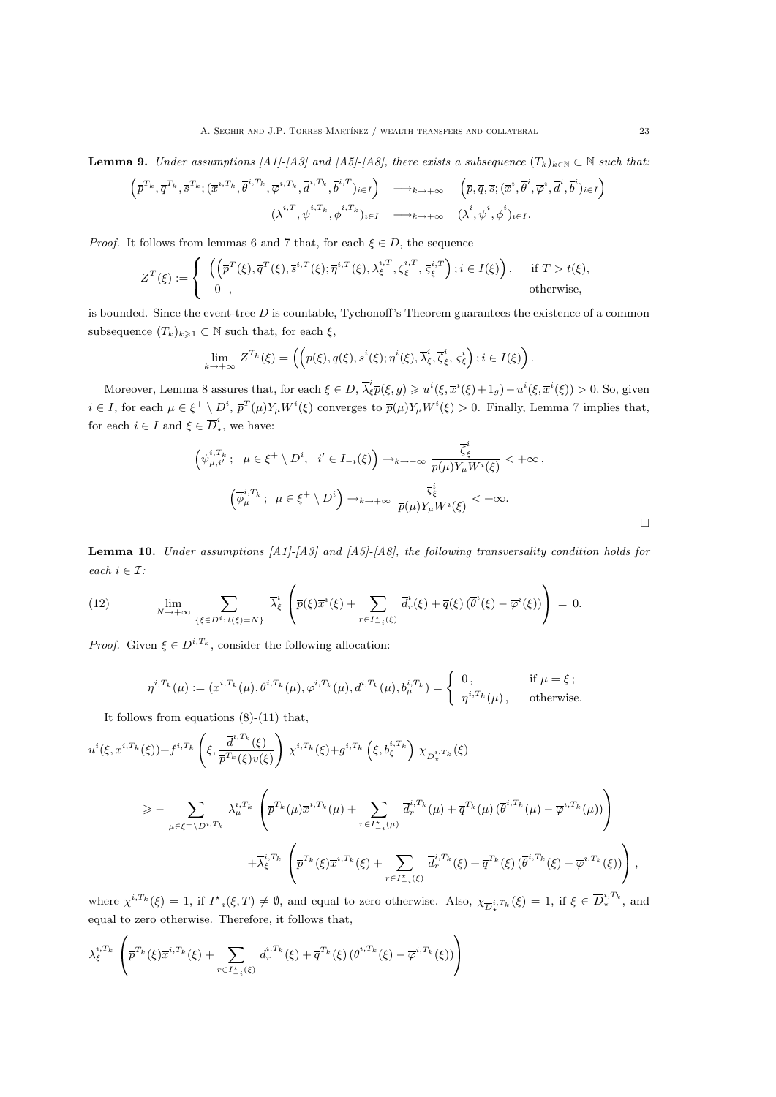**Lemma 9.** Under assumptions [A1]-[A3] and [A5]-[A8], there exists a subsequence  $(T_k)_{k\in\mathbb{N}}\subset\mathbb{N}$  such that:

$$
\begin{pmatrix} \overline{p}^{T_k}, \overline{q}^{T_k}, \overline{s}^{T_k}; (\overline{x}^{i,T_k}, \overline{\theta}^{i,T_k}, \overline{\varphi}^{i,T_k}, \overline{d}^{i,T_k}, \overline{b}^{i,T})_{i \in I} \end{pmatrix} \longrightarrow_{k \to +\infty} \begin{pmatrix} \overline{p}, \overline{q}, \overline{s}; (\overline{x}^i, \overline{\theta}^i, \overline{\varphi}^i, \overline{d}^i, \overline{b}^i)_{i \in I} \end{pmatrix}
$$

$$
(\overline{\lambda}^{i,T}, \overline{\psi}^{i,T_k}, \overline{\phi}^{i,T_k})_{i \in I} \longrightarrow_{k \to +\infty} (\overline{\lambda}^i, \overline{\psi}^i, \overline{\phi}^i)_{i \in I}.
$$

*Proof.* It follows from lemmas 6 and 7 that, for each  $\xi \in D$ , the sequence

$$
Z^T(\xi) := \begin{cases} \left( \left( \overline{p}^T(\xi), \overline{q}^T(\xi), \overline{s}^{i,T}(\xi); \overline{\eta}^{i,T}(\xi), \overline{\lambda}_{\xi}^{i,T}, \overline{\zeta}_{\xi}^{i,T}, \overline{\zeta}_{\xi}^{i,T} \right); i \in I(\xi) \right), & \text{if } T > t(\xi), \\ 0, & \text{otherwise}, \end{cases}
$$

is bounded. Since the event-tree  $D$  is countable, Tychonoff's Theorem guarantees the existence of a common subsequence  $(T_k)_{k\geq 1} \subset \mathbb{N}$  such that, for each  $\xi$ ,

$$
\lim_{k \to +\infty} Z^{T_k}(\xi) = \left( \left( \overline{p}(\xi), \overline{q}(\xi), \overline{s}^i(\xi); \overline{\eta}^i(\xi), \overline{\lambda}_{\xi}^i, \overline{\zeta}_{\xi}^i, \overline{s}_{\xi}^i \right); i \in I(\xi) \right).
$$

Moreover, Lemma 8 assures that, for each  $\xi \in D$ ,  $\overline{\lambda}_{\xi}^{i} \overline{p}(\xi, g) \geqslant u^{i}(\xi, \overline{x}^{i}(\xi) + 1_{g}) - u^{i}(\xi, \overline{x}^{i}(\xi)) > 0$ . So, given  $i \in I$ , for each  $\mu \in \xi^+ \setminus D^i$ ,  $\overline{p}^T(\mu) Y_\mu W^i(\xi)$  converges to  $\overline{p}(\mu) Y_\mu W^i(\xi) > 0$ . Finally, Lemma 7 implies that, for each  $i \in I$  and  $\xi \in \overline{D}_{\star}^{i}$ , we have:

$$
\left(\overline{\psi}_{\mu,i'}^{i,T_k}; \ \mu \in \xi^+ \setminus D^i, \ i' \in I_{-i}(\xi)\right) \to_{k \to +\infty} \frac{\overline{\zeta}_{\xi}^i}{\overline{p}(\mu)Y_{\mu}W^i(\xi)} < +\infty,
$$
\n
$$
\left(\overline{\phi}_{\mu}^{i,T_k}; \ \mu \in \xi^+ \setminus D^i\right) \to_{k \to +\infty} \frac{\overline{\zeta}_{\xi}^i}{\overline{p}(\mu)Y_{\mu}W^i(\xi)} < +\infty.
$$

**Lemma 10.** Under assumptions  $[A1]$ - $[A3]$  and  $[A5]$ - $[A8]$ , the following transversality condition holds for each  $i \in \mathcal{I}$ :

(12) 
$$
\lim_{N \to +\infty} \sum_{\{\xi \in D^i : t(\xi) = N\}} \overline{\lambda}_{\xi}^i \left( \overline{p}(\xi) \overline{x}^i(\xi) + \sum_{r \in I_{-i}^{\star}(\xi)} \overline{d}_r^i(\xi) + \overline{q}(\xi) \left( \overline{\theta}^i(\xi) - \overline{\varphi}^i(\xi) \right) \right) = 0.
$$

*Proof.* Given  $\xi \in D^{i,T_k}$ , consider the following allocation:

$$
\eta^{i,T_k}(\mu) := (x^{i,T_k}(\mu), \theta^{i,T_k}(\mu), \varphi^{i,T_k}(\mu), d^{i,T_k}(\mu), b_\mu^{i,T_k}) = \begin{cases} 0, & \text{if } \mu = \xi; \\ \overline{\eta}^{i,T_k}(\mu), & \text{otherwise.} \end{cases}
$$

It follows from equations (8)-(11) that,

$$
u^{i}(\xi,\overline{x}^{i,T_{k}}(\xi))+f^{i,T_{k}}\left(\xi,\frac{\overline{d}^{i,T_{k}}(\xi)}{\overline{p}^{T_{k}}(\xi)v(\xi)}\right)\chi^{i,T_{k}}(\xi)+g^{i,T_{k}}\left(\xi,\overline{b}_{\xi}^{i,T_{k}}\right)\chi_{\overline{D}_{\star}^{i,T_{k}}}(\xi)
$$
\n
$$
\geq-\sum_{\mu\in\xi^{+}\backslash D^{i,T_{k}}}\lambda_{\mu}^{i,T_{k}}\left(\overline{p}^{T_{k}}(\mu)\overline{x}^{i,T_{k}}(\mu)+\sum_{r\in I_{-i}^{*}(\mu)}\overline{d}_{r}^{i,T_{k}}(\mu)+\overline{q}^{T_{k}}(\mu)\left(\overline{\theta}^{i,T_{k}}(\mu)-\overline{\varphi}^{i,T_{k}}(\mu)\right)\right)
$$
\n
$$
+\overline{\lambda}_{\xi}^{i,T_{k}}\left(\overline{p}^{T_{k}}(\xi)\overline{x}^{i,T_{k}}(\xi)+\sum_{r\in I_{-i}^{*}(\xi)}\overline{d}_{r}^{i,T_{k}}(\xi)+\overline{q}^{T_{k}}(\xi)\left(\overline{\theta}^{i,T_{k}}(\xi)-\overline{\varphi}^{i,T_{k}}(\xi)\right)\right),
$$

where  $\chi^{i,T_k}(\xi) = 1$ , if  $I_{-i}^{\star}(\xi,T) \neq \emptyset$ , and equal to zero otherwise. Also,  $\chi_{\overline{D}_{\star}^{i,T_k}}(\xi) = 1$ , if  $\xi \in \overline{D}_{\star}^{i,T_k}$ , and equal to zero otherwise. Therefore, it follows that,

$$
\overline{\lambda}_{\xi}^{i,T_k} \left( \overline{p}^{T_k}(\xi) \overline{x}^{i,T_k}(\xi) + \sum_{r \in I_{-i}^{\star}(\xi)} \overline{d}_r^{i,T_k}(\xi) + \overline{q}^{T_k}(\xi) \left( \overline{\theta}^{i,T_k}(\xi) - \overline{\varphi}^{i,T_k}(\xi) \right) \right)
$$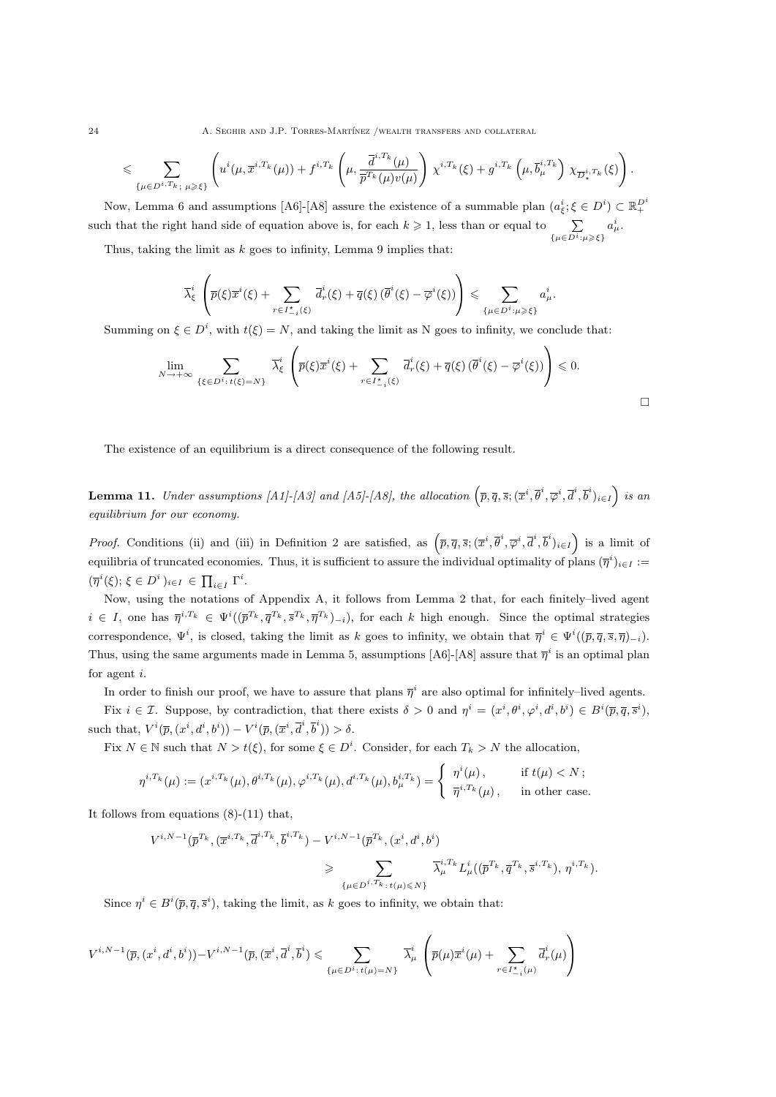24 **A. SEGHIR AND J.P. TORRES-MARTÍNEZ /WEALTH TRANSFERS AND COLLATERAL** 

$$
\leqslant \sum_{\{\mu \in D^{i,T_k};\ \mu \geqslant \xi\}} \left( u^i(\mu,\overline{x}^{i,T_k}(\mu)) + f^{i,T_k}\left(\mu,\frac{\overline{d}^{i,T_k}(\mu)}{\overline{p}^{T_k}(\mu)v(\mu)}\right) \chi^{i,T_k}(\xi) + g^{i,T_k}\left(\mu,\overline{b}^{i,T_k}_{\mu}\right) \chi_{\overline{D}^{i,T_k}_{\star}}(\xi)\right).
$$

Now, Lemma 6 and assumptions [A6]-[A8] assure the existence of a summable plan  $(a_{\xi}^i; \xi \in D^i) \subset \mathbb{R}_+^{D^i}$ such that the right hand side of equation above is, for each  $k \geq 1$ , less than or equal to  $\sum$  $\{\mu \in D^i : \mu \geqslant \xi\}$  $a^i_\mu.$ 

Thus, taking the limit as  $k$  goes to infinity, Lemma 9 implies that:

$$
\overline{\lambda}_{\xi}^{i}\left(\overline{p}(\xi)\overline{x}^{i}(\xi)+\sum_{r\in I_{-i}^{\star}(\xi)}\overline{d}_{r}^{i}(\xi)+\overline{q}(\xi)\left(\overline{\theta}^{i}(\xi)-\overline{\varphi}^{i}(\xi)\right)\right)\leq \sum_{\{\mu\in D^{i}:\mu\geqslant\xi\}}a_{\mu}^{i}.
$$

Summing on  $\xi \in D^i$ , with  $t(\xi) = N$ , and taking the limit as N goes to infinity, we conclude that:

$$
\lim_{N \to +\infty} \sum_{\{\xi \in D^i : t(\xi) = N\}} \overline{\lambda}_{\xi}^i \left( \overline{p}(\xi) \overline{x}^i(\xi) + \sum_{r \in I_{-i}^{\star}(\xi)} \overline{d}_r^i(\xi) + \overline{q}(\xi) \left( \overline{\theta}^i(\xi) - \overline{\varphi}^i(\xi) \right) \right) \leq 0.
$$

The existence of an equilibrium is a direct consequence of the following result.

**Lemma 11.** Under assumptions [A1]-[A3] and [A5]-[A8], the allocation  $(\bar{p}, \bar{q}, \bar{s}; (\bar{x}^i, \bar{\theta}^i, \bar{\varphi}^i, \bar{d}^i, \bar{b}^i)_{i \in I})$  is an equilibrium for our economy.

*Proof.* Conditions (ii) and (iii) in Definition 2 are satisfied, as  $(\bar{p}, \bar{q}, \bar{s}; (\bar{x}^i, \bar{\theta}^i, \bar{\varphi}^i, \bar{d}^i, \bar{b}^i)_{i \in I})$  is a limit of equilibria of truncated economies. Thus, it is sufficient to assure the individual optimality of plans  $(\bar{\eta}^i)_{i\in I}$ :=  $(\overline{\eta}^i(\xi); \xi \in D^i)_{i \in I} \in \prod_{i \in I} \Gamma^i.$ 

Now, using the notations of Appendix A, it follows from Lemma 2 that, for each finitely–lived agent  $i \in I$ , one has  $\overline{\eta}^{i,T_k} \in \Psi^i((\overline{p}^{T_k}, \overline{q}^{T_k}, \overline{s}^{T_k}, \overline{\eta}^{T_k})_{-i})$ , for each k high enough. Since the optimal strategies correspondence,  $\Psi^i$ , is closed, taking the limit as k goes to infinity, we obtain that  $\overline{\eta}^i \in \Psi^i((\overline{p}, \overline{q}, \overline{s}, \overline{\eta})_{-i}).$ Thus, using the same arguments made in Lemma 5, assumptions [A6]-[A8] assure that  $\bar{\eta}^i$  is an optimal plan for agent i.

In order to finish our proof, we have to assure that plans  $\bar{\eta}^i$  are also optimal for infinitely–lived agents. Fix  $i \in \mathcal{I}$ . Suppose, by contradiction, that there exists  $\delta > 0$  and  $\eta^i = (x^i, \theta^i, \varphi^i, d^i, b^i) \in B^i(\bar{p}, \bar{q}, \bar{s}^i)$ , such that,  $V^i(\overline{p}, (x^i, d^i, b^i)) - V^i(\overline{p}, (\overline{x}^i, \overline{d}^i, \overline{b}^i)) > \delta$ .

Fix  $N \in \mathbb{N}$  such that  $N > t(\xi)$ , for some  $\xi \in D^i$ . Consider, for each  $T_k > N$  the allocation,

$$
\eta^{i,T_k}(\mu) := (x^{i,T_k}(\mu), \theta^{i,T_k}(\mu), \varphi^{i,T_k}(\mu), d^{i,T_k}(\mu), b^{i,T_k}_{\mu}) = \begin{cases} \eta^i(\mu), & \text{if } t(\mu) < N \, ; \\ \overline{\eta}^{i,T_k}(\mu), & \text{in other case.} \end{cases}
$$

It follows from equations (8)-(11) that,

$$
V^{i,N-1}(\bar{p}^{T_k},(\bar{x}^{i,T_k},\bar{d}^{i,T_k},\bar{b}^{i,T_k}) - V^{i,N-1}(\bar{p}^{T_k},(x^i,d^i,b^i))
$$
  

$$
\geqslant \sum_{\{\mu \in D^{i,T_k}: t(\mu) \leqslant N\}} \bar{\lambda}_{\mu}^{i,T_k} L_{\mu}^i((\bar{p}^{T_k},\bar{q}^{T_k},\bar{s}^{i,T_k}),\eta^{i,T_k}).
$$

Since  $\eta^i \in B^i(\overline{p}, \overline{q}, \overline{s}^i)$ , taking the limit, as k goes to infinity, we obtain that:

$$
V^{i,N-1}(\overline{p},(x^i,d^i,b^i))-V^{i,N-1}(\overline{p},(\overline{x}^i,\overline{d}^i,\overline{b}^i)\leqslant \sum_{\{\mu\in D^i:\,t(\mu)=N\}}\overline{\lambda}_{\mu}^i\left(\overline{p}(\mu)\overline{x}^i(\mu)+\sum_{r\in I_{-i}^*(\mu)}\overline{d}_r^i(\mu)\right)
$$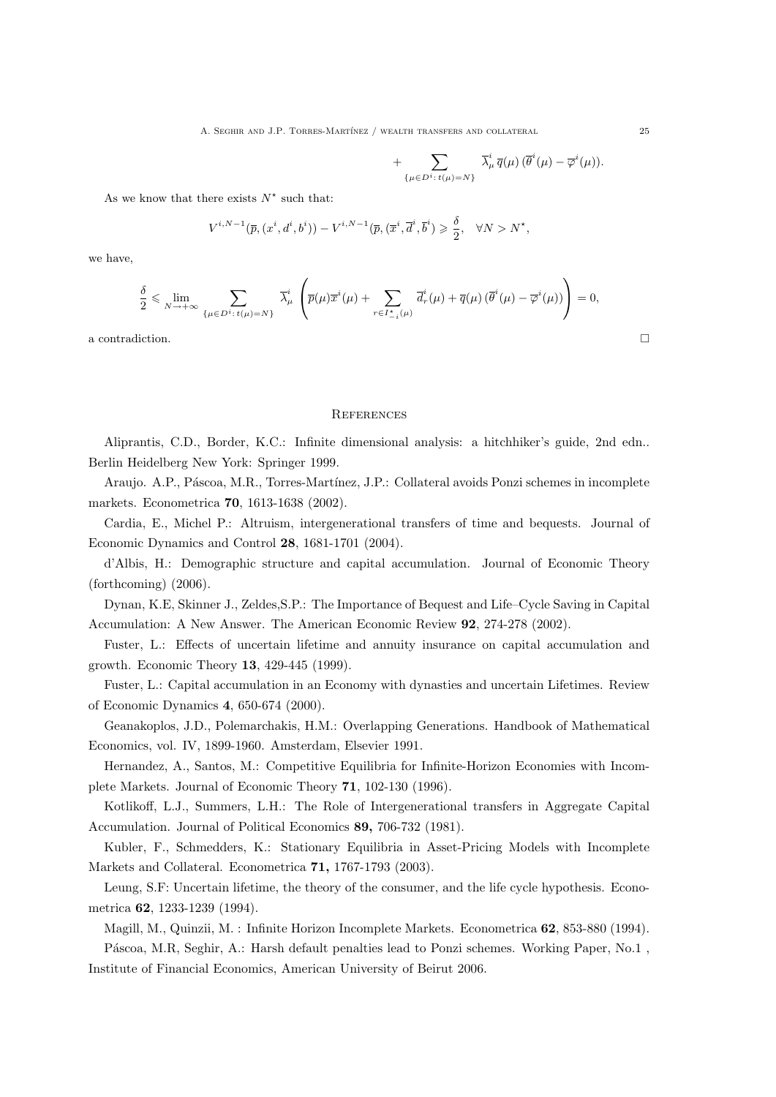A. SEGHIR AND J.P. TORRES-MARTÍNEZ / WEALTH TRANSFERS AND COLLATERAL  $25$ 

$$
+\sum_{\{\mu\in D^i\colon t(\mu)=N\}}\bar\lambda^i_\mu\,\overline{q}(\mu)\,(\overline{\theta}^i(\mu)-\overline{\varphi}^i(\mu)).
$$

As we know that there exists  $N^*$  such that:

$$
V^{i,N-1}(\overline{p},(x^i,d^i,b^i))-V^{i,N-1}(\overline{p},(\overline{x}^i,\overline{d}^i,\overline{b}^i)\geqslant \frac{\delta}{2},\quad \forall N>N^{\star},
$$

we have,

$$
\frac{\delta}{2} \leqslant \lim_{N \to +\infty} \sum_{\{\mu \in D^{i}: t(\mu) = N\}} \overline{\lambda}_{\mu}^{i} \left( \overline{p}(\mu) \overline{x}^{i}(\mu) + \sum_{r \in I_{-i}^{*}(\mu)} \overline{d}_{r}^{i}(\mu) + \overline{q}(\mu) \left( \overline{\theta}^{i}(\mu) - \overline{\varphi}^{i}(\mu) \right) \right) = 0,
$$

a contradiction.  $\Box$ 

#### **REFERENCES**

Aliprantis, C.D., Border, K.C.: Infinite dimensional analysis: a hitchhiker's guide, 2nd edn.. Berlin Heidelberg New York: Springer 1999.

Araujo. A.P., Páscoa, M.R., Torres-Martínez, J.P.: Collateral avoids Ponzi schemes in incomplete markets. Econometrica 70, 1613-1638 (2002).

Cardia, E., Michel P.: Altruism, intergenerational transfers of time and bequests. Journal of Economic Dynamics and Control 28, 1681-1701 (2004).

d'Albis, H.: Demographic structure and capital accumulation. Journal of Economic Theory (forthcoming) (2006).

Dynan, K.E, Skinner J., Zeldes,S.P.: The Importance of Bequest and Life–Cycle Saving in Capital Accumulation: A New Answer. The American Economic Review 92, 274-278 (2002).

Fuster, L.: Effects of uncertain lifetime and annuity insurance on capital accumulation and growth. Economic Theory 13, 429-445 (1999).

Fuster, L.: Capital accumulation in an Economy with dynasties and uncertain Lifetimes. Review of Economic Dynamics 4, 650-674 (2000).

Geanakoplos, J.D., Polemarchakis, H.M.: Overlapping Generations. Handbook of Mathematical Economics, vol. IV, 1899-1960. Amsterdam, Elsevier 1991.

Hernandez, A., Santos, M.: Competitive Equilibria for Infinite-Horizon Economies with Incomplete Markets. Journal of Economic Theory 71, 102-130 (1996).

Kotlikoff, L.J., Summers, L.H.: The Role of Intergenerational transfers in Aggregate Capital Accumulation. Journal of Political Economics 89, 706-732 (1981).

Kubler, F., Schmedders, K.: Stationary Equilibria in Asset-Pricing Models with Incomplete Markets and Collateral. Econometrica 71, 1767-1793 (2003).

Leung, S.F: Uncertain lifetime, the theory of the consumer, and the life cycle hypothesis. Econometrica 62, 1233-1239 (1994).

Magill, M., Quinzii, M. : Infinite Horizon Incomplete Markets. Econometrica 62, 853-880 (1994).

Páscoa, M.R, Seghir, A.: Harsh default penalties lead to Ponzi schemes. Working Paper, No.1. Institute of Financial Economics, American University of Beirut 2006.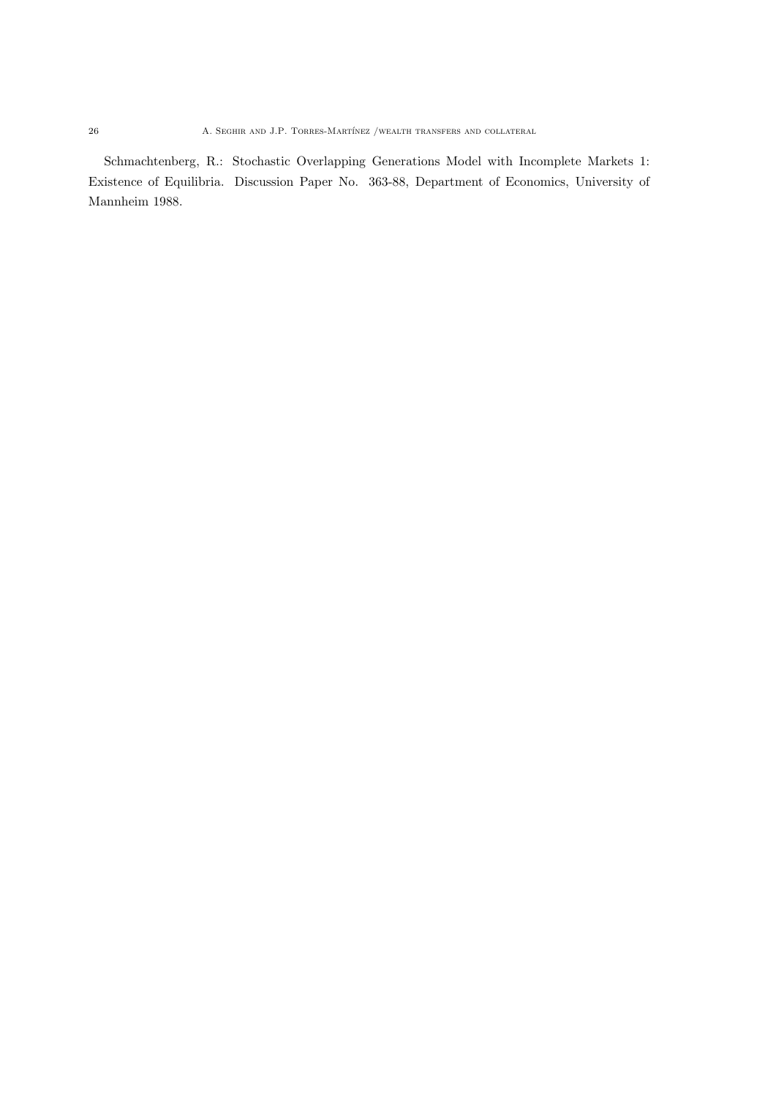Schmachtenberg, R.: Stochastic Overlapping Generations Model with Incomplete Markets 1: Existence of Equilibria. Discussion Paper No. 363-88, Department of Economics, University of Mannheim 1988.